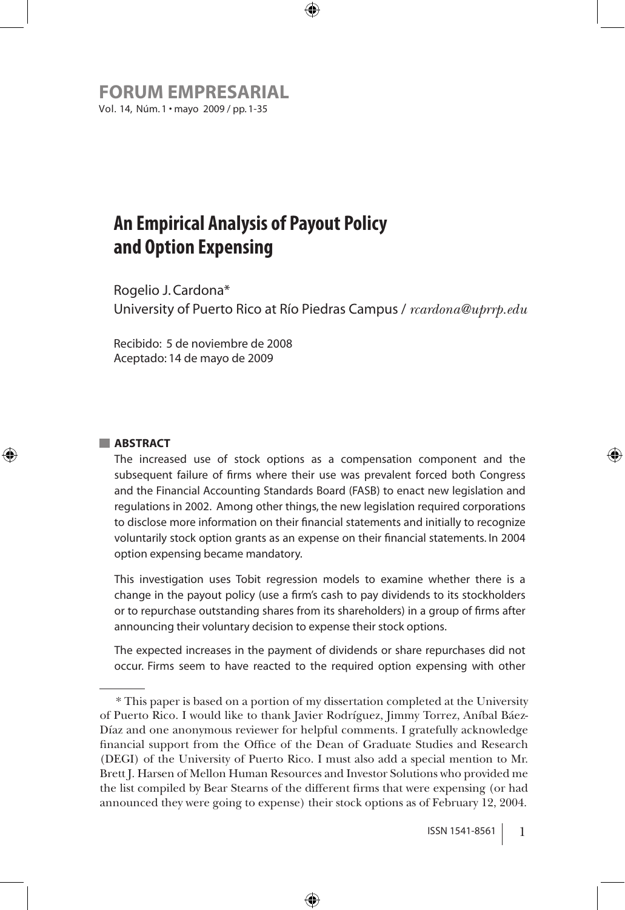**FORUM Empresarial** Vol. 14, Núm. 1 • mayo 2009 / pp. 1-35

# **An Empirical Analysis of Payout Policy and Option Expensing**

Rogelio J. Cardona\* University of Puerto Rico at Río Piedras Campus / *rcardona@uprrp.edu*

⊕

Recibido: 5 de noviembre de 2008 Aceptado: 14 de mayo de 2009

#### **ABSTRACT**

⊕

The increased use of stock options as a compensation component and the subsequent failure of firms where their use was prevalent forced both Congress and the Financial Accounting Standards Board (FASB) to enact new legislation and regulations in 2002. Among other things, the new legislation required corporations to disclose more information on their financial statements and initially to recognize voluntarily stock option grants as an expense on their financial statements. In 2004 option expensing became mandatory.

This investigation uses Tobit regression models to examine whether there is a change in the payout policy (use a firm's cash to pay dividends to its stockholders or to repurchase outstanding shares from its shareholders) in a group of firms after announcing their voluntary decision to expense their stock options.

The expected increases in the payment of dividends or share repurchases did not occur. Firms seem to have reacted to the required option expensing with other

⊕

<sup>\*</sup> This paper is based on a portion of my dissertation completed at the University of Puerto Rico. I would like to thank Javier Rodríguez, Jimmy Torrez, Aníbal Báez-Díaz and one anonymous reviewer for helpful comments. I gratefully acknowledge financial support from the Office of the Dean of Graduate Studies and Research (DEGI) of the University of Puerto Rico. I must also add a special mention to Mr. Brett J. Harsen of Mellon Human Resources and Investor Solutions who provided me the list compiled by Bear Stearns of the different firms that were expensing (or had announced they were going to expense) their stock options as of February 12, 2004.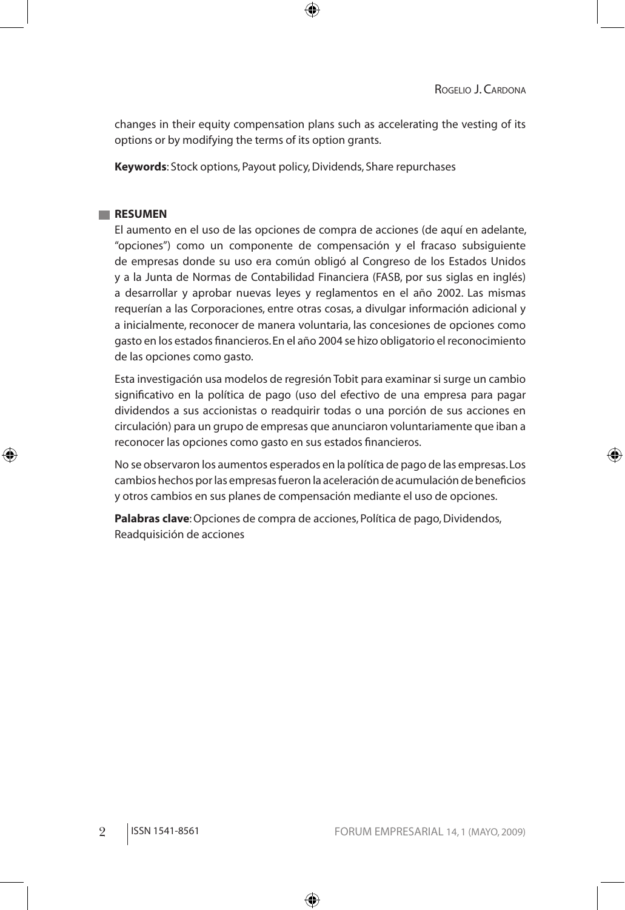#### ROGELIO J. CARDONA

⊕

changes in their equity compensation plans such as accelerating the vesting of its options or by modifying the terms of its option grants.

⊕

**Keywords**: Stock options, Payout policy, Dividends, Share repurchases

#### **RESUMEN**

⊕

El aumento en el uso de las opciones de compra de acciones (de aquí en adelante, "opciones") como un componente de compensación y el fracaso subsiguiente de empresas donde su uso era común obligó al Congreso de los Estados Unidos y a la Junta de Normas de Contabilidad Financiera (FASB, por sus siglas en inglés) a desarrollar y aprobar nuevas leyes y reglamentos en el año 2002. Las mismas requerían a las Corporaciones, entre otras cosas, a divulgar información adicional y a inicialmente, reconocer de manera voluntaria, las concesiones de opciones como gasto en los estados financieros. En el año 2004 se hizo obligatorio el reconocimiento de las opciones como gasto.

Esta investigación usa modelos de regresión Tobit para examinar si surge un cambio significativo en la política de pago (uso del efectivo de una empresa para pagar dividendos a sus accionistas o readquirir todas o una porción de sus acciones en circulación) para un grupo de empresas que anunciaron voluntariamente que iban a reconocer las opciones como gasto en sus estados financieros.

No se observaron los aumentos esperados en la política de pago de las empresas. Los cambios hechos por las empresas fueron la aceleración de acumulación de beneficios y otros cambios en sus planes de compensación mediante el uso de opciones.

**Palabras clave**: Opciones de compra de acciones, Política de pago, Dividendos, Readquisición de acciones

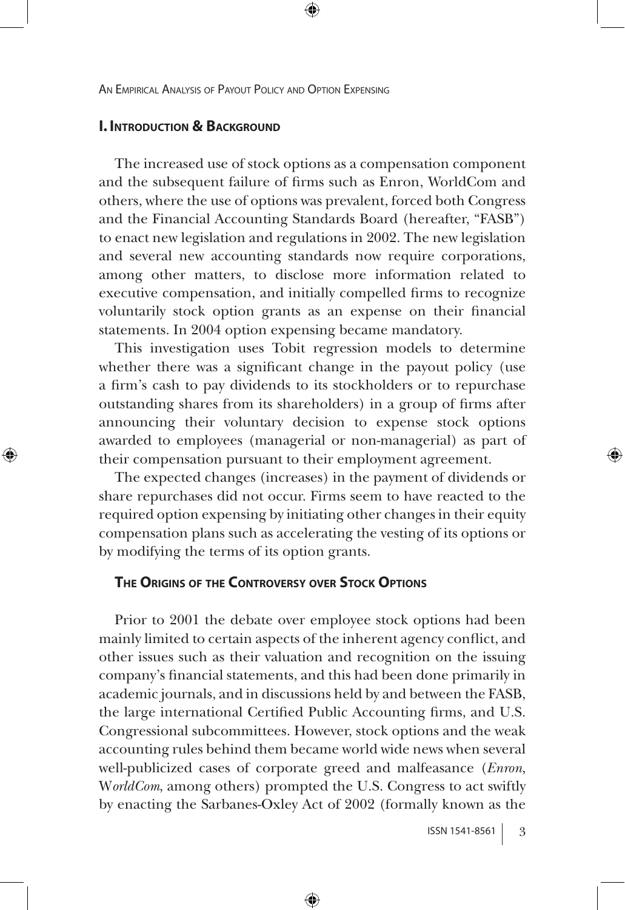## **I. INTRODUCTION & BACKGROUND**

⊕

The increased use of stock options as a compensation component and the subsequent failure of firms such as Enron, WorldCom and others, where the use of options was prevalent, forced both Congress and the Financial Accounting Standards Board (hereafter, "FASB") to enact new legislation and regulations in 2002. The new legislation and several new accounting standards now require corporations, among other matters, to disclose more information related to executive compensation, and initially compelled firms to recognize voluntarily stock option grants as an expense on their financial statements. In 2004 option expensing became mandatory.

⊕

This investigation uses Tobit regression models to determine whether there was a significant change in the payout policy (use a firm's cash to pay dividends to its stockholders or to repurchase outstanding shares from its shareholders) in a group of firms after announcing their voluntary decision to expense stock options awarded to employees (managerial or non-managerial) as part of their compensation pursuant to their employment agreement.

The expected changes (increases) in the payment of dividends or share repurchases did not occur. Firms seem to have reacted to the required option expensing by initiating other changes in their equity compensation plans such as accelerating the vesting of its options or by modifying the terms of its option grants.

#### **The Origins of the Controversy over Stock Options**

Prior to 2001 the debate over employee stock options had been mainly limited to certain aspects of the inherent agency conflict, and other issues such as their valuation and recognition on the issuing company's financial statements, and this had been done primarily in academic journals, and in discussions held by and between the FASB, the large international Certified Public Accounting firms, and U.S. Congressional subcommittees. However, stock options and the weak accounting rules behind them became world wide news when several well-publicized cases of corporate greed and malfeasance (*Enron*, W*orldCom*, among others) prompted the U.S. Congress to act swiftly by enacting the Sarbanes-Oxley Act of 2002 (formally known as the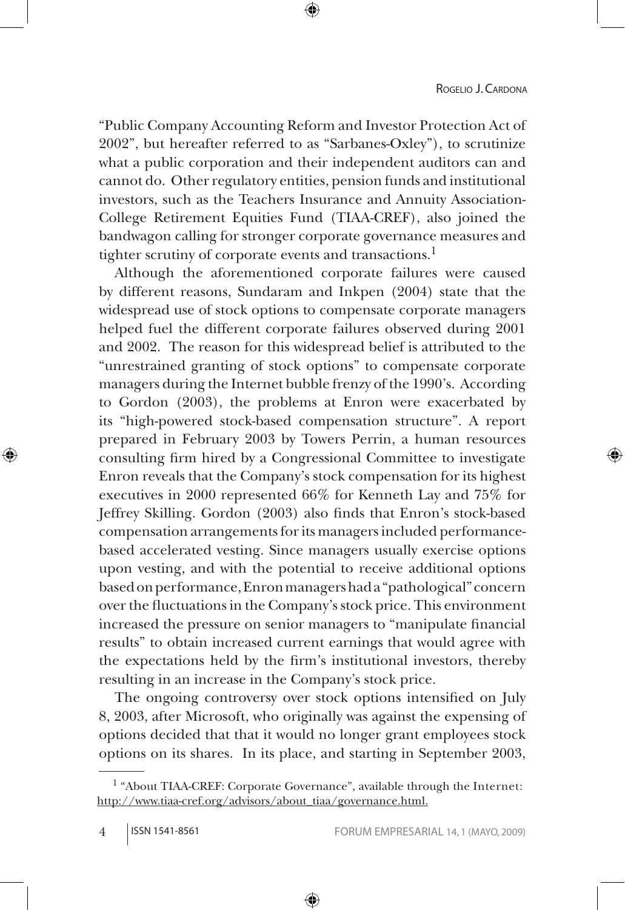"Public Company Accounting Reform and Investor Protection Act of 2002", but hereafter referred to as "Sarbanes-Oxley"), to scrutinize what a public corporation and their independent auditors can and cannot do. Other regulatory entities, pension funds and institutional investors, such as the Teachers Insurance and Annuity Association-College Retirement Equities Fund (TIAA-CREF), also joined the bandwagon calling for stronger corporate governance measures and tighter scrutiny of corporate events and transactions.<sup>1</sup>

Although the aforementioned corporate failures were caused by different reasons, Sundaram and Inkpen (2004) state that the widespread use of stock options to compensate corporate managers helped fuel the different corporate failures observed during 2001 and 2002. The reason for this widespread belief is attributed to the "unrestrained granting of stock options" to compensate corporate managers during the Internet bubble frenzy of the 1990's. According to Gordon (2003), the problems at Enron were exacerbated by its "high-powered stock-based compensation structure". A report prepared in February 2003 by Towers Perrin, a human resources consulting firm hired by a Congressional Committee to investigate Enron reveals that the Company's stock compensation for its highest executives in 2000 represented 66% for Kenneth Lay and 75% for Jeffrey Skilling. Gordon (2003) also finds that Enron's stock-based compensation arrangements for its managers included performancebased accelerated vesting. Since managers usually exercise options upon vesting, and with the potential to receive additional options based on performance, Enron managers had a "pathological" concern over the fluctuations in the Company's stock price. This environment increased the pressure on senior managers to "manipulate financial results" to obtain increased current earnings that would agree with the expectations held by the firm's institutional investors, thereby resulting in an increase in the Company's stock price.

The ongoing controversy over stock options intensified on July 8, 2003, after Microsoft, who originally was against the expensing of options decided that that it would no longer grant employees stock options on its shares. In its place, and starting in September 2003,

⊕

<sup>1 &</sup>quot;About TIAA-CREF: Corporate Governance", available through the Internet: http://www.tiaa-cref.org/advisors/about\_tiaa/governance.html.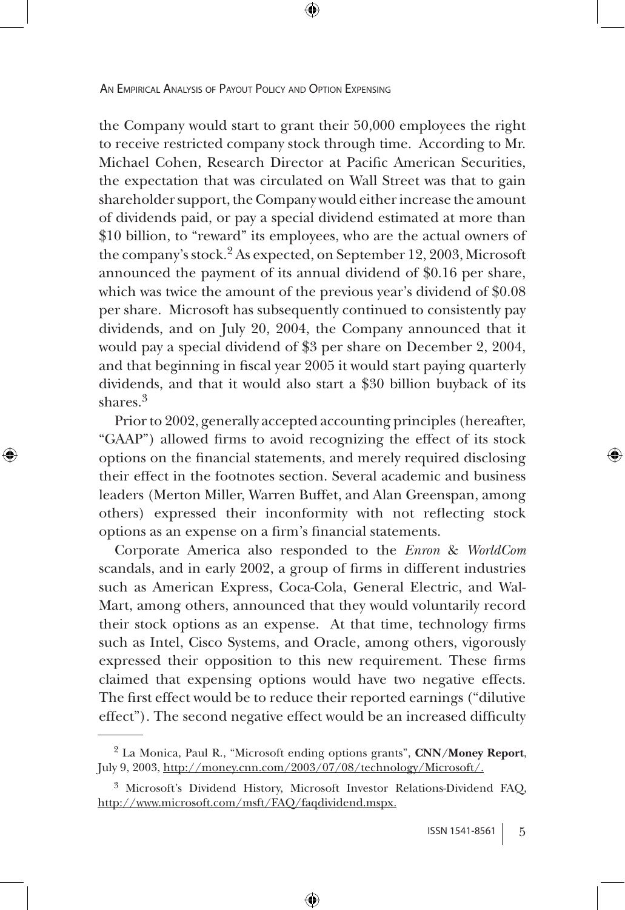the Company would start to grant their 50,000 employees the right to receive restricted company stock through time. According to Mr. Michael Cohen, Research Director at Pacific American Securities, the expectation that was circulated on Wall Street was that to gain shareholder support, the Company would either increase the amount of dividends paid, or pay a special dividend estimated at more than \$10 billion, to "reward" its employees, who are the actual owners of the company's stock.2 As expected, on September 12, 2003, Microsoft announced the payment of its annual dividend of \$0.16 per share, which was twice the amount of the previous year's dividend of \$0.08 per share. Microsoft has subsequently continued to consistently pay dividends, and on July 20, 2004, the Company announced that it would pay a special dividend of \$3 per share on December 2, 2004, and that beginning in fiscal year 2005 it would start paying quarterly dividends, and that it would also start a \$30 billion buyback of its shares<sup>3</sup>

Prior to 2002, generally accepted accounting principles (hereafter, "GAAP") allowed firms to avoid recognizing the effect of its stock options on the financial statements, and merely required disclosing their effect in the footnotes section. Several academic and business leaders (Merton Miller, Warren Buffet, and Alan Greenspan, among others) expressed their inconformity with not reflecting stock options as an expense on a firm's financial statements.

↔

Corporate America also responded to the *Enron* & *WorldCom* scandals, and in early 2002, a group of firms in different industries such as American Express, Coca-Cola, General Electric, and Wal-Mart, among others, announced that they would voluntarily record their stock options as an expense. At that time, technology firms such as Intel, Cisco Systems, and Oracle, among others, vigorously expressed their opposition to this new requirement. These firms claimed that expensing options would have two negative effects. The first effect would be to reduce their reported earnings ("dilutive effect"). The second negative effect would be an increased difficulty

<sup>2</sup> La Monica, Paul R., "Microsoft ending options grants", **CNN/Money Report**, July 9, 2003, http://money.cnn.com/2003/07/08/technology/Microsoft/.

<sup>3</sup> Microsoft's Dividend History, Microsoft Investor Relations-Dividend FAQ, http://www.microsoft.com/msft/FAQ/faqdividend.mspx.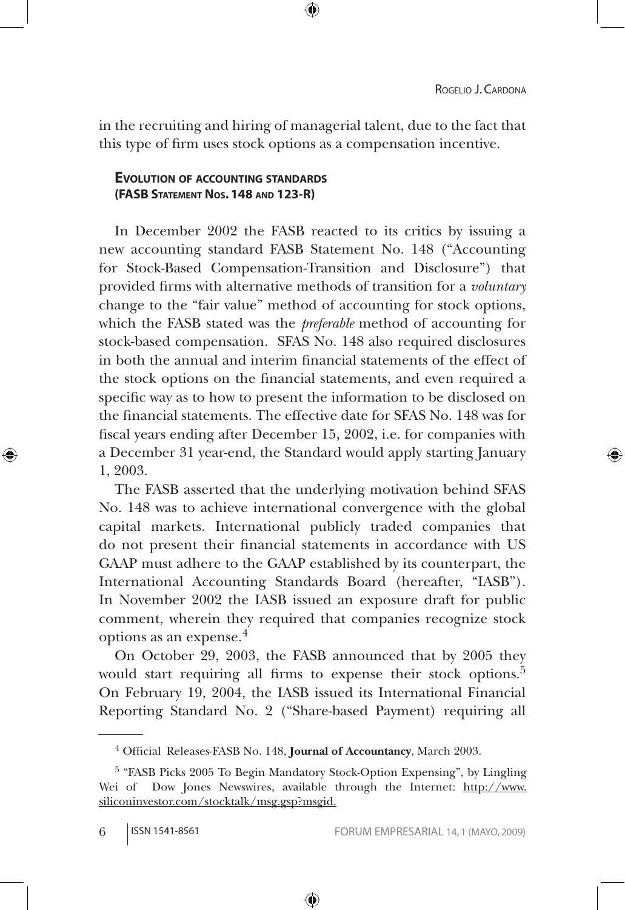⊕

in the recruiting and hiring of managerial talent, due to the fact that this type of firm uses stock options as a compensation incentive.

⊕

## **Evolution of accounting standards (FASB Statement Nos. 148 and 123-R)**

In December 2002 the FASB reacted to its critics by issuing a new accounting standard FASB Statement No. 148 ("Accounting for Stock-Based Compensation-Transition and Disclosure") that provided firms with alternative methods of transition for a *voluntary* change to the "fair value" method of accounting for stock options, which the FASB stated was the *preferable* method of accounting for stock-based compensation. SFAS No. 148 also required disclosures in both the annual and interim financial statements of the effect of the stock options on the financial statements, and even required a specific way as to how to present the information to be disclosed on the financial statements. The effective date for SFAS No. 148 was for fiscal years ending after December 15, 2002, i.e. for companies with a December 31 year-end, the Standard would apply starting January 1, 2003.

The FASB asserted that the underlying motivation behind SFAS No. 148 was to achieve international convergence with the global capital markets. International publicly traded companies that do not present their financial statements in accordance with US GAAP must adhere to the GAAP established by its counterpart, the International Accounting Standards Board (hereafter, "IASB"). In November 2002 the IASB issued an exposure draft for public comment, wherein they required that companies recognize stock options as an expense.<sup>4</sup>

On October 29, 2003, the FASB announced that by 2005 they would start requiring all firms to expense their stock options.<sup>5</sup> On February 19, 2004, the IASB issued its International Financial Reporting Standard No. 2 ("Share-based Payment) requiring all

⊕

<sup>4</sup> Official Releases-FASB No. 148, **Journal of Accountancy**, March 2003.

<sup>5 &</sup>quot;FASB Picks 2005 To Begin Mandatory Stock-Option Expensing", by Lingling Wei of Dow Jones Newswires, available through the Internet: http://www. siliconinvestor.com/stocktalk/msg.gsp?msgid.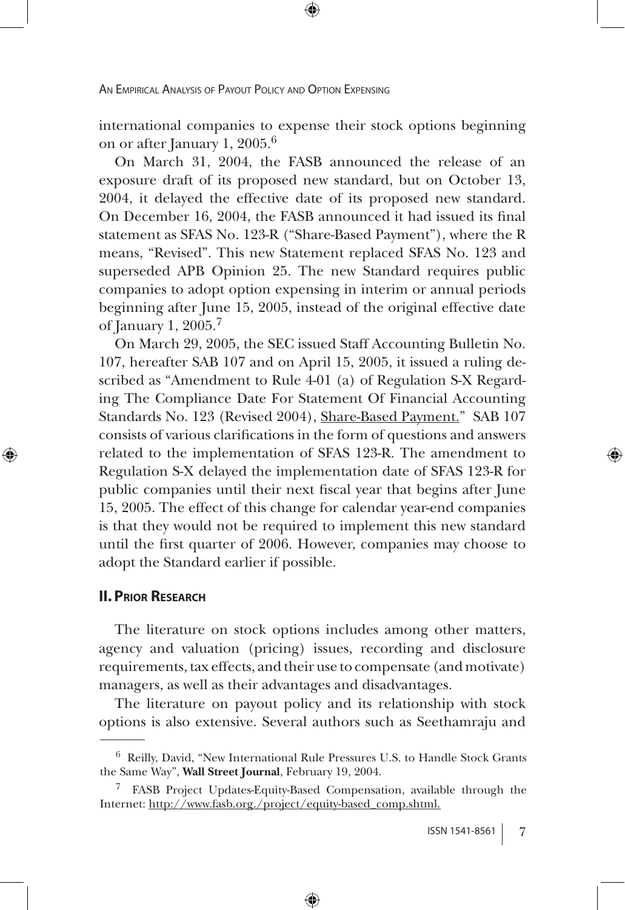international companies to expense their stock options beginning on or after January 1, 2005.6

On March 31, 2004, the FASB announced the release of an exposure draft of its proposed new standard, but on October 13, 2004, it delayed the effective date of its proposed new standard. On December 16, 2004, the FASB announced it had issued its final statement as SFAS No. 123-R ("Share-Based Payment"), where the R means, "Revised". This new Statement replaced SFAS No. 123 and superseded APB Opinion 25. The new Standard requires public companies to adopt option expensing in interim or annual periods beginning after June 15, 2005, instead of the original effective date of January 1, 2005.7

On March 29, 2005, the SEC issued Staff Accounting Bulletin No. 107, hereafter SAB 107 and on April 15, 2005, it issued a ruling described as "Amendment to Rule 4-01 (a) of Regulation S-X Regarding The Compliance Date For Statement Of Financial Accounting Standards No. 123 (Revised 2004), Share-Based Payment." SAB 107 consists of various clarifications in the form of questions and answers related to the implementation of SFAS 123-R. The amendment to Regulation S-X delayed the implementation date of SFAS 123-R for public companies until their next fiscal year that begins after June 15, 2005. The effect of this change for calendar year-end companies is that they would not be required to implement this new standard until the first quarter of 2006. However, companies may choose to adopt the Standard earlier if possible.

#### **II. Prior Research**

⊕

The literature on stock options includes among other matters, agency and valuation (pricing) issues, recording and disclosure requirements, tax effects, and their use to compensate (and motivate) managers, as well as their advantages and disadvantages.

The literature on payout policy and its relationship with stock options is also extensive. Several authors such as Seethamraju and

<sup>6</sup> Reilly, David, "New International Rule Pressures U.S. to Handle Stock Grants the Same Way", **Wall Street Journal**, February 19, 2004.

<sup>7</sup> FASB Project Updates-Equity-Based Compensation, available through the Internet: http://www.fasb.org./project/equity-based\_comp.shtml.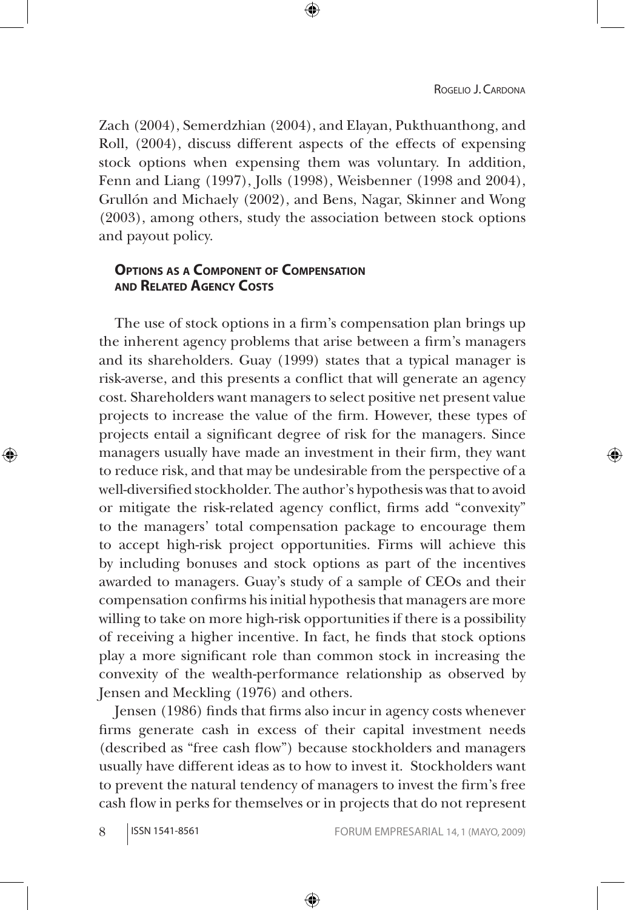Zach (2004), Semerdzhian (2004), and Elayan, Pukthuanthong, and Roll, (2004), discuss different aspects of the effects of expensing stock options when expensing them was voluntary. In addition, Fenn and Liang (1997), Jolls (1998), Weisbenner (1998 and 2004), Grullón and Michaely (2002), and Bens, Nagar, Skinner and Wong (2003), among others, study the association between stock options and payout policy.

⊕

## **Options as <sup>a</sup> Component of Compensation and Related Agency Costs**

The use of stock options in a firm's compensation plan brings up the inherent agency problems that arise between a firm's managers and its shareholders. Guay (1999) states that a typical manager is risk-averse, and this presents a conflict that will generate an agency cost. Shareholders want managers to select positive net present value projects to increase the value of the firm. However, these types of projects entail a significant degree of risk for the managers. Since managers usually have made an investment in their firm, they want to reduce risk, and that may be undesirable from the perspective of a well-diversified stockholder. The author's hypothesis was that to avoid or mitigate the risk-related agency conflict, firms add "convexity" to the managers' total compensation package to encourage them to accept high-risk project opportunities. Firms will achieve this by including bonuses and stock options as part of the incentives awarded to managers. Guay's study of a sample of CEOs and their compensation confirms his initial hypothesis that managers are more willing to take on more high-risk opportunities if there is a possibility of receiving a higher incentive. In fact, he finds that stock options play a more significant role than common stock in increasing the convexity of the wealth-performance relationship as observed by Jensen and Meckling (1976) and others.

Jensen (1986) finds that firms also incur in agency costs whenever firms generate cash in excess of their capital investment needs (described as "free cash flow") because stockholders and managers usually have different ideas as to how to invest it. Stockholders want to prevent the natural tendency of managers to invest the firm's free cash flow in perks for themselves or in projects that do not represent

⊕

↔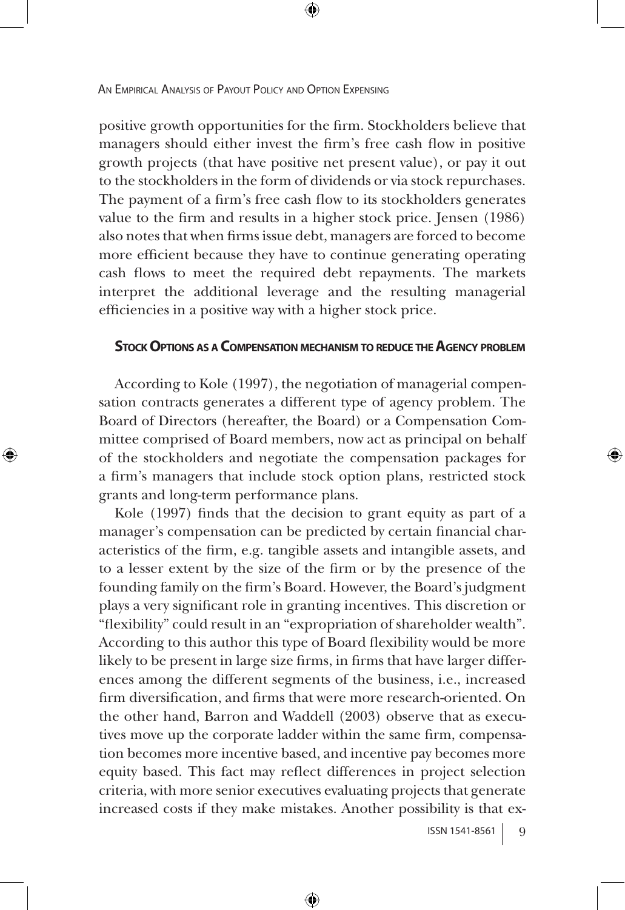positive growth opportunities for the firm. Stockholders believe that managers should either invest the firm's free cash flow in positive growth projects (that have positive net present value), or pay it out to the stockholders in the form of dividends or via stock repurchases. The payment of a firm's free cash flow to its stockholders generates value to the firm and results in a higher stock price. Jensen (1986) also notes that when firms issue debt, managers are forced to become more efficient because they have to continue generating operating cash flows to meet the required debt repayments. The markets interpret the additional leverage and the resulting managerial efficiencies in a positive way with a higher stock price.

#### **StockOptions as <sup>a</sup> Compensation mechanism to reduce theAgency problem**

According to Kole (1997), the negotiation of managerial compensation contracts generates a different type of agency problem. The Board of Directors (hereafter, the Board) or a Compensation Committee comprised of Board members, now act as principal on behalf of the stockholders and negotiate the compensation packages for a firm's managers that include stock option plans, restricted stock grants and long-term performance plans.

↔

Kole (1997) finds that the decision to grant equity as part of a manager's compensation can be predicted by certain financial characteristics of the firm, e.g. tangible assets and intangible assets, and to a lesser extent by the size of the firm or by the presence of the founding family on the firm's Board. However, the Board's judgment plays a very significant role in granting incentives. This discretion or "flexibility" could result in an "expropriation of shareholder wealth". According to this author this type of Board flexibility would be more likely to be present in large size firms, in firms that have larger differences among the different segments of the business, i.e., increased firm diversification, and firms that were more research-oriented. On the other hand, Barron and Waddell (2003) observe that as executives move up the corporate ladder within the same firm, compensation becomes more incentive based, and incentive pay becomes more equity based. This fact may reflect differences in project selection criteria, with more senior executives evaluating projects that generate increased costs if they make mistakes. Another possibility is that ex-

⊕

 $ISSN 1541-8561$  9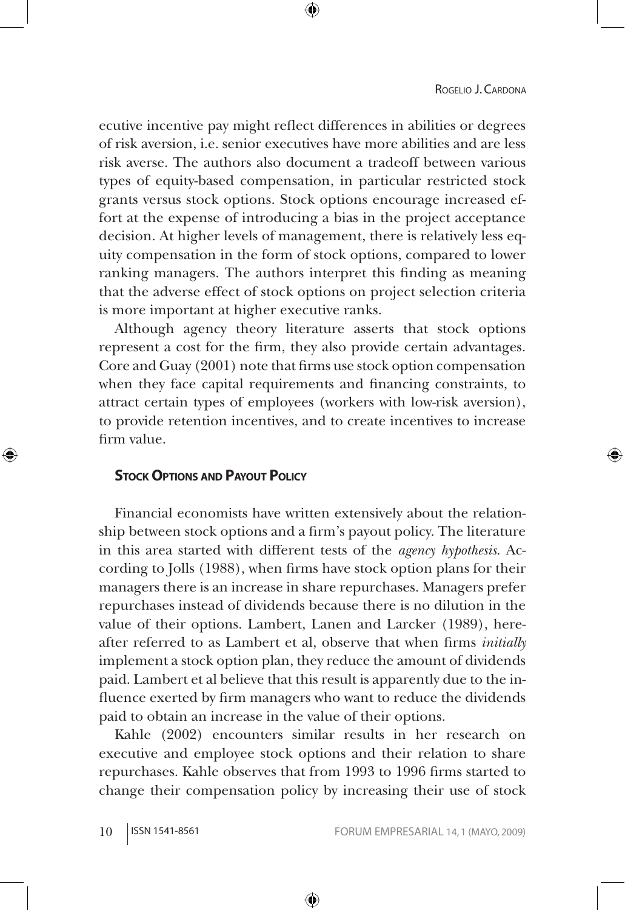#### ROGELIO J. CARDONA

ecutive incentive pay might reflect differences in abilities or degrees of risk aversion, i.e. senior executives have more abilities and are less risk averse. The authors also document a tradeoff between various types of equity-based compensation, in particular restricted stock grants versus stock options. Stock options encourage increased effort at the expense of introducing a bias in the project acceptance decision. At higher levels of management, there is relatively less equity compensation in the form of stock options, compared to lower ranking managers. The authors interpret this finding as meaning that the adverse effect of stock options on project selection criteria is more important at higher executive ranks.

Although agency theory literature asserts that stock options represent a cost for the firm, they also provide certain advantages. Core and Guay (2001) note that firms use stock option compensation when they face capital requirements and financing constraints, to attract certain types of employees (workers with low-risk aversion), to provide retention incentives, and to create incentives to increase firm value.

#### **Stock Options and Payout Policy**

⊕

Financial economists have written extensively about the relationship between stock options and a firm's payout policy. The literature in this area started with different tests of the *agency hypothesis*. According to Jolls (1988), when firms have stock option plans for their managers there is an increase in share repurchases. Managers prefer repurchases instead of dividends because there is no dilution in the value of their options. Lambert, Lanen and Larcker (1989), hereafter referred to as Lambert et al, observe that when firms *initially*  implement a stock option plan, they reduce the amount of dividends paid. Lambert et al believe that this result is apparently due to the influence exerted by firm managers who want to reduce the dividends paid to obtain an increase in the value of their options.

Kahle (2002) encounters similar results in her research on executive and employee stock options and their relation to share repurchases. Kahle observes that from 1993 to 1996 firms started to change their compensation policy by increasing their use of stock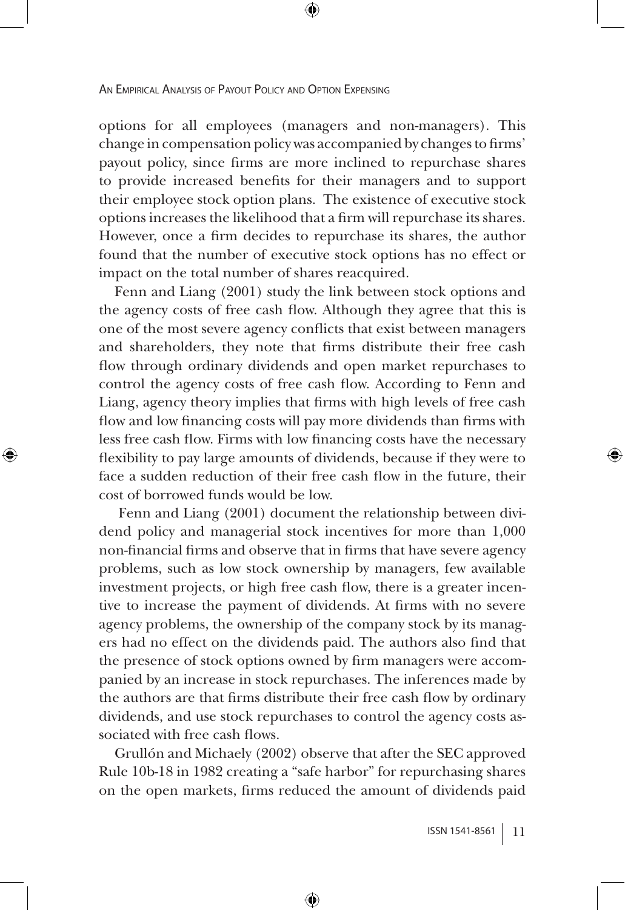↔

options for all employees (managers and non-managers). This change in compensation policy was accompanied by changes to firms' payout policy, since firms are more inclined to repurchase shares to provide increased benefits for their managers and to support their employee stock option plans. The existence of executive stock options increases the likelihood that a firm will repurchase its shares. However, once a firm decides to repurchase its shares, the author found that the number of executive stock options has no effect or impact on the total number of shares reacquired.

Fenn and Liang (2001) study the link between stock options and the agency costs of free cash flow. Although they agree that this is one of the most severe agency conflicts that exist between managers and shareholders, they note that firms distribute their free cash flow through ordinary dividends and open market repurchases to control the agency costs of free cash flow. According to Fenn and Liang, agency theory implies that firms with high levels of free cash flow and low financing costs will pay more dividends than firms with less free cash flow. Firms with low financing costs have the necessary flexibility to pay large amounts of dividends, because if they were to face a sudden reduction of their free cash flow in the future, their cost of borrowed funds would be low.

 Fenn and Liang (2001) document the relationship between dividend policy and managerial stock incentives for more than 1,000 non-financial firms and observe that in firms that have severe agency problems, such as low stock ownership by managers, few available investment projects, or high free cash flow, there is a greater incentive to increase the payment of dividends. At firms with no severe agency problems, the ownership of the company stock by its managers had no effect on the dividends paid. The authors also find that the presence of stock options owned by firm managers were accompanied by an increase in stock repurchases. The inferences made by the authors are that firms distribute their free cash flow by ordinary dividends, and use stock repurchases to control the agency costs associated with free cash flows.

Grullón and Michaely (2002) observe that after the SEC approved Rule 10b-18 in 1982 creating a "safe harbor" for repurchasing shares on the open markets, firms reduced the amount of dividends paid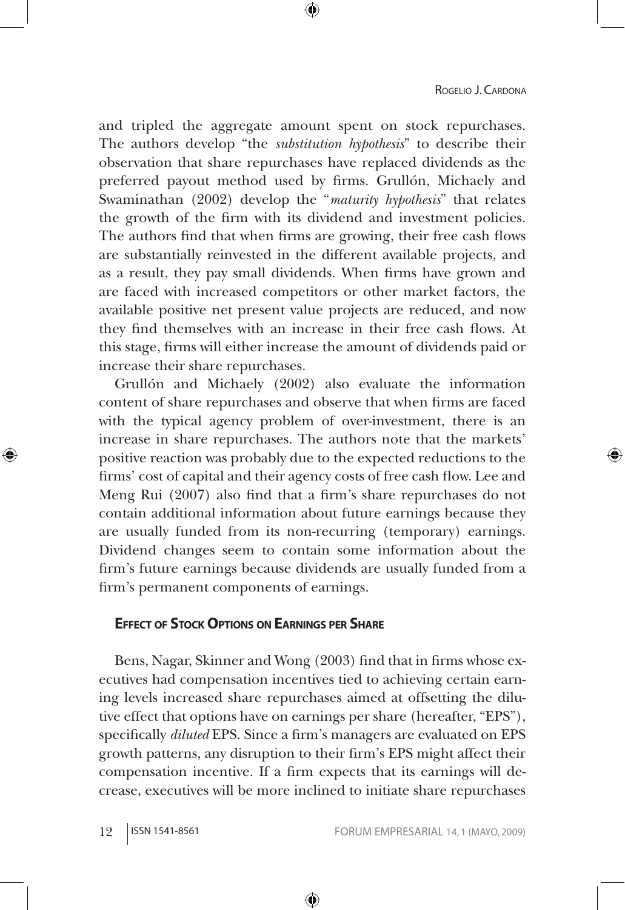and tripled the aggregate amount spent on stock repurchases. The authors develop "the *substitution hypothesis*" to describe their observation that share repurchases have replaced dividends as the preferred payout method used by firms. Grullón, Michaely and Swaminathan (2002) develop the "*maturity hypothesis*" that relates the growth of the firm with its dividend and investment policies. The authors find that when firms are growing, their free cash flows are substantially reinvested in the different available projects, and as a result, they pay small dividends. When firms have grown and are faced with increased competitors or other market factors, the available positive net present value projects are reduced, and now they find themselves with an increase in their free cash flows. At this stage, firms will either increase the amount of dividends paid or increase their share repurchases.

⊕

Grullón and Michaely (2002) also evaluate the information content of share repurchases and observe that when firms are faced with the typical agency problem of over-investment, there is an increase in share repurchases. The authors note that the markets' positive reaction was probably due to the expected reductions to the firms' cost of capital and their agency costs of free cash flow. Lee and Meng Rui (2007) also find that a firm's share repurchases do not contain additional information about future earnings because they are usually funded from its non-recurring (temporary) earnings. Dividend changes seem to contain some information about the firm's future earnings because dividends are usually funded from a firm's permanent components of earnings.

### **Effect of Stock Options on Earnings per Share**

Bens, Nagar, Skinner and Wong (2003) find that in firms whose executives had compensation incentives tied to achieving certain earning levels increased share repurchases aimed at offsetting the dilutive effect that options have on earnings per share (hereafter, "EPS"), specifically *diluted* EPS. Since a firm's managers are evaluated on EPS growth patterns, any disruption to their firm's EPS might affect their compensation incentive. If a firm expects that its earnings will decrease, executives will be more inclined to initiate share repurchases

⊕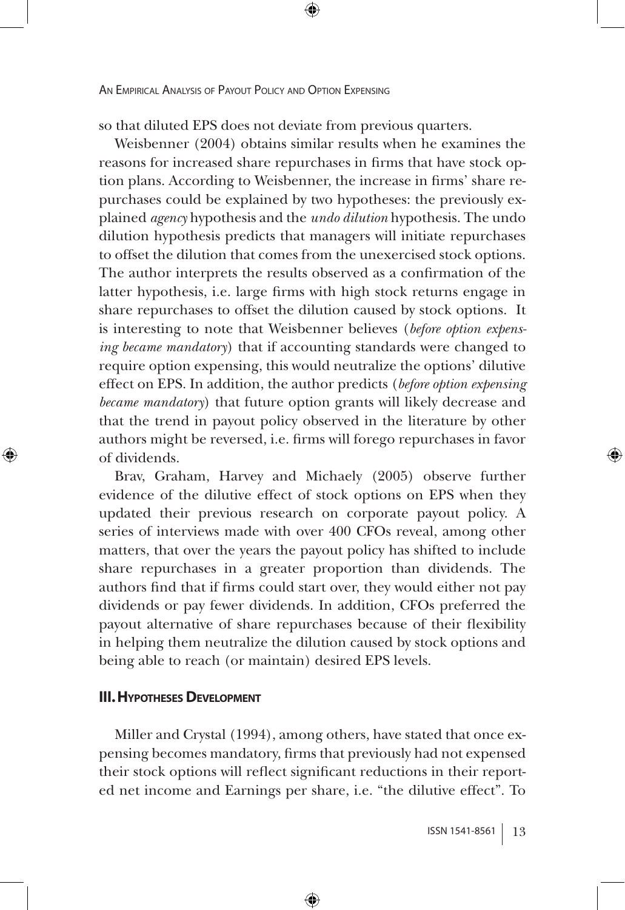so that diluted EPS does not deviate from previous quarters.

⊕

Weisbenner (2004) obtains similar results when he examines the reasons for increased share repurchases in firms that have stock option plans. According to Weisbenner, the increase in firms' share repurchases could be explained by two hypotheses: the previously explained *agency* hypothesis and the *undo dilution* hypothesis. The undo dilution hypothesis predicts that managers will initiate repurchases to offset the dilution that comes from the unexercised stock options. The author interprets the results observed as a confirmation of the latter hypothesis, i.e. large firms with high stock returns engage in share repurchases to offset the dilution caused by stock options. It is interesting to note that Weisbenner believes (*before option expensing became mandatory*) that if accounting standards were changed to require option expensing, this would neutralize the options' dilutive effect on EPS. In addition, the author predicts (*before option expensing became mandatory*) that future option grants will likely decrease and that the trend in payout policy observed in the literature by other authors might be reversed, i.e. firms will forego repurchases in favor of dividends.

Brav, Graham, Harvey and Michaely (2005) observe further evidence of the dilutive effect of stock options on EPS when they updated their previous research on corporate payout policy. A series of interviews made with over 400 CFOs reveal, among other matters, that over the years the payout policy has shifted to include share repurchases in a greater proportion than dividends. The authors find that if firms could start over, they would either not pay dividends or pay fewer dividends. In addition, CFOs preferred the payout alternative of share repurchases because of their flexibility in helping them neutralize the dilution caused by stock options and being able to reach (or maintain) desired EPS levels.

### **III. HYPOTHESES DEVELOPMENT**

↔

Miller and Crystal (1994), among others, have stated that once expensing becomes mandatory, firms that previously had not expensed their stock options will reflect significant reductions in their reported net income and Earnings per share, i.e. "the dilutive effect". To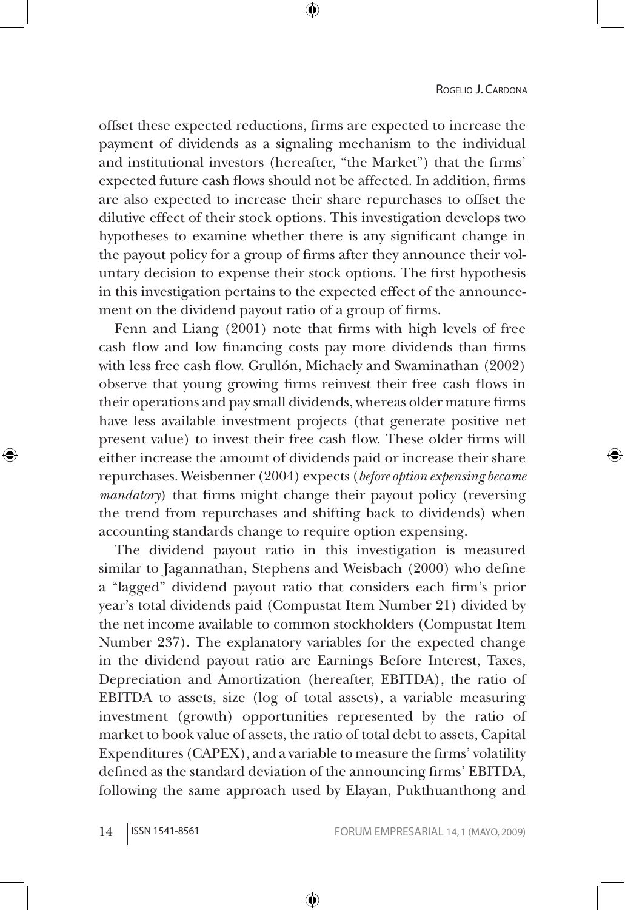offset these expected reductions, firms are expected to increase the payment of dividends as a signaling mechanism to the individual and institutional investors (hereafter, "the Market") that the firms' expected future cash flows should not be affected. In addition, firms are also expected to increase their share repurchases to offset the dilutive effect of their stock options. This investigation develops two hypotheses to examine whether there is any significant change in the payout policy for a group of firms after they announce their voluntary decision to expense their stock options. The first hypothesis in this investigation pertains to the expected effect of the announcement on the dividend payout ratio of a group of firms.

Fenn and Liang (2001) note that firms with high levels of free cash flow and low financing costs pay more dividends than firms with less free cash flow. Grullón, Michaely and Swaminathan (2002) observe that young growing firms reinvest their free cash flows in their operations and pay small dividends, whereas older mature firms have less available investment projects (that generate positive net present value) to invest their free cash flow. These older firms will either increase the amount of dividends paid or increase their share repurchases. Weisbenner (2004) expects (*before option expensing became mandatory*) that firms might change their payout policy (reversing the trend from repurchases and shifting back to dividends) when accounting standards change to require option expensing.

The dividend payout ratio in this investigation is measured similar to Jagannathan, Stephens and Weisbach (2000) who define a "lagged" dividend payout ratio that considers each firm's prior year's total dividends paid (Compustat Item Number 21) divided by the net income available to common stockholders (Compustat Item Number 237). The explanatory variables for the expected change in the dividend payout ratio are Earnings Before Interest, Taxes, Depreciation and Amortization (hereafter, EBITDA), the ratio of EBITDA to assets, size (log of total assets), a variable measuring investment (growth) opportunities represented by the ratio of market to book value of assets, the ratio of total debt to assets, Capital Expenditures (CAPEX), and a variable to measure the firms' volatility defined as the standard deviation of the announcing firms' EBITDA, following the same approach used by Elayan, Pukthuanthong and

⊕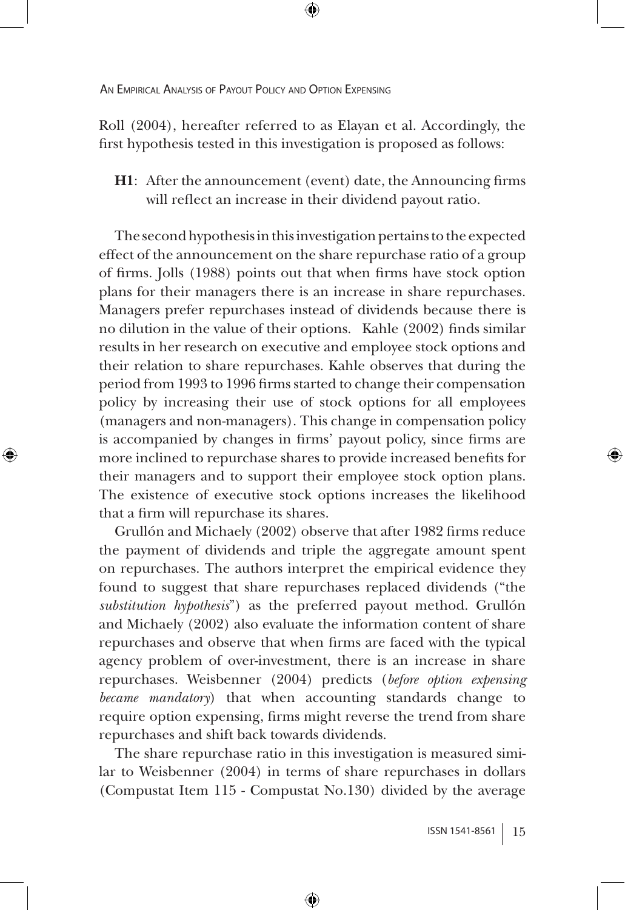⊕

Roll (2004), hereafter referred to as Elayan et al. Accordingly, the first hypothesis tested in this investigation is proposed as follows:

⊕

**H1**: After the announcement (event) date, the Announcing firms will reflect an increase in their dividend payout ratio.

The second hypothesis in this investigation pertains to the expected effect of the announcement on the share repurchase ratio of a group of firms. Jolls (1988) points out that when firms have stock option plans for their managers there is an increase in share repurchases. Managers prefer repurchases instead of dividends because there is no dilution in the value of their options. Kahle (2002) finds similar results in her research on executive and employee stock options and their relation to share repurchases. Kahle observes that during the period from 1993 to 1996 firms started to change their compensation policy by increasing their use of stock options for all employees (managers and non-managers). This change in compensation policy is accompanied by changes in firms' payout policy, since firms are more inclined to repurchase shares to provide increased benefits for their managers and to support their employee stock option plans. The existence of executive stock options increases the likelihood that a firm will repurchase its shares.

Grullón and Michaely (2002) observe that after 1982 firms reduce the payment of dividends and triple the aggregate amount spent on repurchases. The authors interpret the empirical evidence they found to suggest that share repurchases replaced dividends ("the *substitution hypothesis*") as the preferred payout method. Grullón and Michaely (2002) also evaluate the information content of share repurchases and observe that when firms are faced with the typical agency problem of over-investment, there is an increase in share repurchases. Weisbenner (2004) predicts (*before option expensing became mandatory*) that when accounting standards change to require option expensing, firms might reverse the trend from share repurchases and shift back towards dividends.

The share repurchase ratio in this investigation is measured similar to Weisbenner (2004) in terms of share repurchases in dollars (Compustat Item 115 - Compustat No.130) divided by the average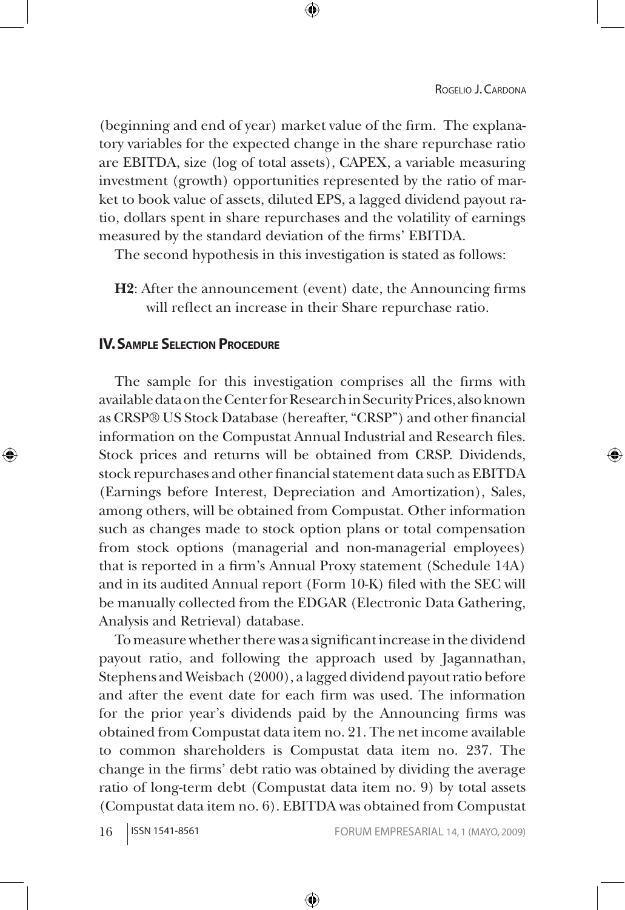(beginning and end of year) market value of the firm. The explanatory variables for the expected change in the share repurchase ratio are EBITDA, size (log of total assets), CAPEX, a variable measuring investment (growth) opportunities represented by the ratio of market to book value of assets, diluted EPS, a lagged dividend payout ratio, dollars spent in share repurchases and the volatility of earnings measured by the standard deviation of the firms' EBITDA.

↔

The second hypothesis in this investigation is stated as follows:

**H2**: After the announcement (event) date, the Announcing firms will reflect an increase in their Share repurchase ratio.

## **IV. Sample Selection Procedure**

↔

The sample for this investigation comprises all the firms with available data on the Center for Research in Security Prices, also known as CRSP® US Stock Database (hereafter, "CRSP") and other financial information on the Compustat Annual Industrial and Research files. Stock prices and returns will be obtained from CRSP. Dividends, stock repurchases and other financial statement data such as EBITDA (Earnings before Interest, Depreciation and Amortization), Sales, among others, will be obtained from Compustat. Other information such as changes made to stock option plans or total compensation from stock options (managerial and non-managerial employees) that is reported in a firm's Annual Proxy statement (Schedule 14A) and in its audited Annual report (Form 10-K) filed with the SEC will be manually collected from the EDGAR (Electronic Data Gathering, Analysis and Retrieval) database.

To measure whether there was a significant increase in the dividend payout ratio, and following the approach used by Jagannathan, Stephens and Weisbach (2000), a lagged dividend payout ratio before and after the event date for each firm was used. The information for the prior year's dividends paid by the Announcing firms was obtained from Compustat data item no. 21. The net income available to common shareholders is Compustat data item no. 237. The change in the firms' debt ratio was obtained by dividing the average ratio of long-term debt (Compustat data item no. 9) by total assets (Compustat data item no. 6). EBITDA was obtained from Compustat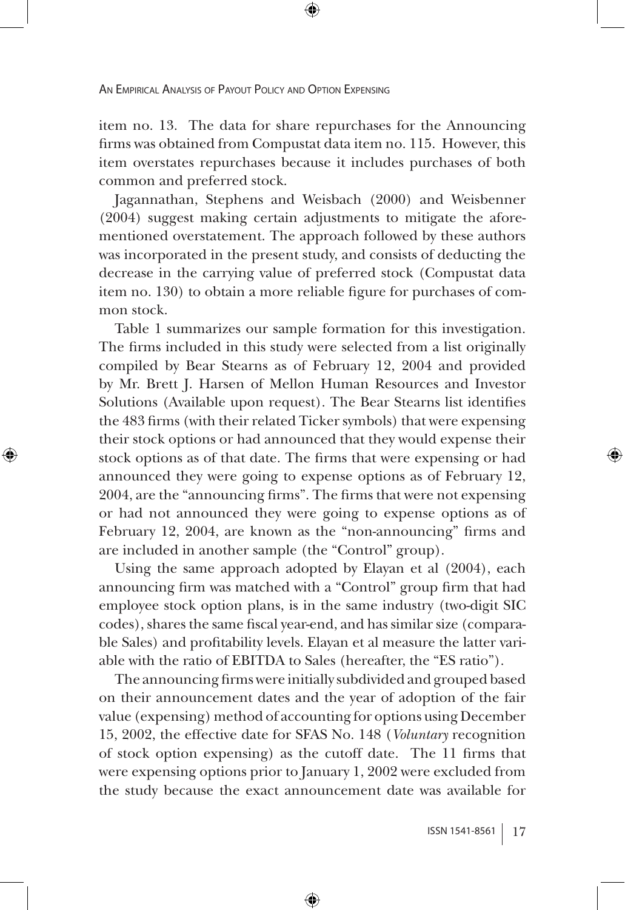item no. 13. The data for share repurchases for the Announcing firms was obtained from Compustat data item no. 115. However, this item overstates repurchases because it includes purchases of both common and preferred stock.

⊕

Jagannathan, Stephens and Weisbach (2000) and Weisbenner (2004) suggest making certain adjustments to mitigate the aforementioned overstatement. The approach followed by these authors was incorporated in the present study, and consists of deducting the decrease in the carrying value of preferred stock (Compustat data item no. 130) to obtain a more reliable figure for purchases of common stock.

Table 1 summarizes our sample formation for this investigation. The firms included in this study were selected from a list originally compiled by Bear Stearns as of February 12, 2004 and provided by Mr. Brett J. Harsen of Mellon Human Resources and Investor Solutions (Available upon request). The Bear Stearns list identifies the 483 firms (with their related Ticker symbols) that were expensing their stock options or had announced that they would expense their stock options as of that date. The firms that were expensing or had announced they were going to expense options as of February 12, 2004, are the "announcing firms". The firms that were not expensing or had not announced they were going to expense options as of February 12, 2004, are known as the "non-announcing" firms and are included in another sample (the "Control" group).

⊕

Using the same approach adopted by Elayan et al (2004), each announcing firm was matched with a "Control" group firm that had employee stock option plans, is in the same industry (two-digit SIC codes), shares the same fiscal year-end, and has similar size (comparable Sales) and profitability levels. Elayan et al measure the latter variable with the ratio of EBITDA to Sales (hereafter, the "ES ratio").

The announcing firms were initially subdivided and grouped based on their announcement dates and the year of adoption of the fair value (expensing) method of accounting for options using December 15, 2002, the effective date for SFAS No. 148 (*Voluntary* recognition of stock option expensing) as the cutoff date. The 11 firms that were expensing options prior to January 1, 2002 were excluded from the study because the exact announcement date was available for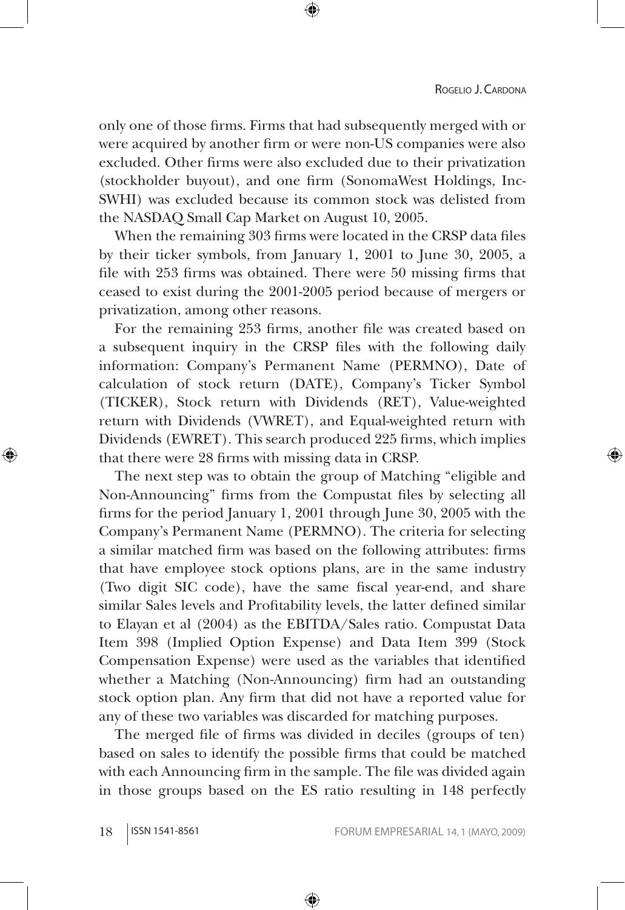only one of those firms. Firms that had subsequently merged with or were acquired by another firm or were non-US companies were also excluded. Other firms were also excluded due to their privatization (stockholder buyout), and one firm (SonomaWest Holdings, Inc-SWHI) was excluded because its common stock was delisted from the NASDAQ Small Cap Market on August 10, 2005.

↔

When the remaining 303 firms were located in the CRSP data files by their ticker symbols, from January 1, 2001 to June 30, 2005, a file with 253 firms was obtained. There were 50 missing firms that ceased to exist during the 2001-2005 period because of mergers or privatization, among other reasons.

For the remaining 253 firms, another file was created based on a subsequent inquiry in the CRSP files with the following daily information: Company's Permanent Name (PERMNO), Date of calculation of stock return (DATE), Company's Ticker Symbol (TICKER), Stock return with Dividends (RET), Value-weighted return with Dividends (VWRET), and Equal-weighted return with Dividends (EWRET). This search produced 225 firms, which implies that there were 28 firms with missing data in CRSP.

The next step was to obtain the group of Matching "eligible and Non-Announcing" firms from the Compustat files by selecting all firms for the period January 1, 2001 through June 30, 2005 with the Company's Permanent Name (PERMNO). The criteria for selecting a similar matched firm was based on the following attributes: firms that have employee stock options plans, are in the same industry (Two digit SIC code), have the same fiscal year-end, and share similar Sales levels and Profitability levels, the latter defined similar to Elayan et al (2004) as the EBITDA/Sales ratio. Compustat Data Item 398 (Implied Option Expense) and Data Item 399 (Stock Compensation Expense) were used as the variables that identified whether a Matching (Non-Announcing) firm had an outstanding stock option plan. Any firm that did not have a reported value for any of these two variables was discarded for matching purposes.

The merged file of firms was divided in deciles (groups of ten) based on sales to identify the possible firms that could be matched with each Announcing firm in the sample. The file was divided again in those groups based on the ES ratio resulting in 148 perfectly

⊕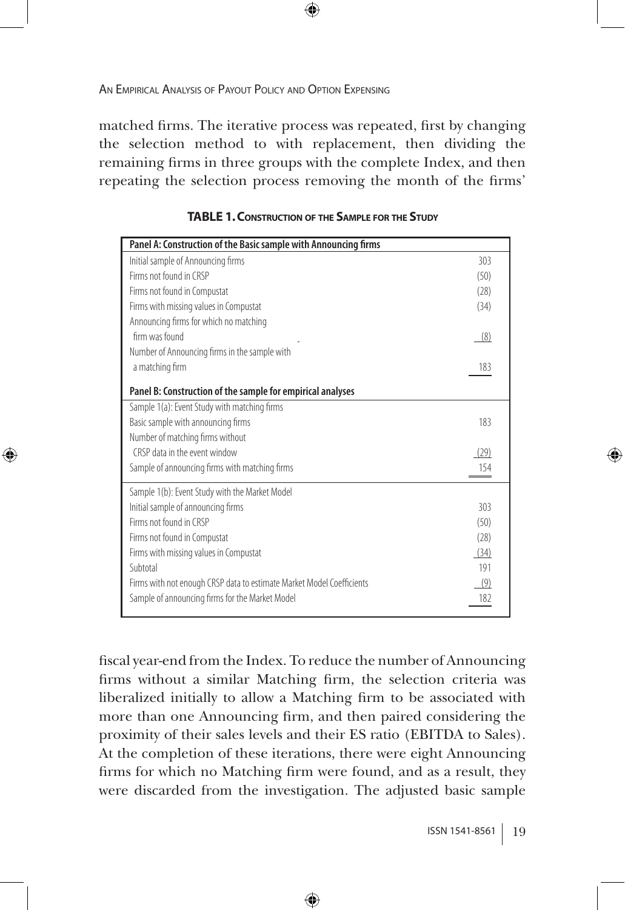⊕

matched firms. The iterative process was repeated, first by changing the selection method to with replacement, then dividing the remaining firms in three groups with the complete Index, and then repeating the selection process removing the month of the firms'

⊕

| Panel A: Construction of the Basic sample with Announcing firms       |      |
|-----------------------------------------------------------------------|------|
| Initial sample of Announcing firms                                    | 303  |
| Firms not found in CRSP                                               | (50) |
| Firms not found in Compustat                                          | (28) |
| Firms with missing values in Compustat                                | (34) |
| Announcing firms for which no matching                                |      |
| firm was found                                                        | (8)  |
| Number of Announcing firms in the sample with                         |      |
| a matching firm                                                       | 183  |
|                                                                       |      |
| Panel B: Construction of the sample for empirical analyses            |      |
| Sample 1(a): Event Study with matching firms                          |      |
| Basic sample with announcing firms                                    | 183  |
| Number of matching firms without                                      |      |
| CRSP data in the event window                                         | (29) |
| Sample of announcing firms with matching firms                        | 154  |
| Sample 1(b): Event Study with the Market Model                        |      |
| Initial sample of announcing firms                                    | 303  |
| Firms not found in CRSP                                               | (50) |
| Firms not found in Compustat                                          | (28) |
| Firms with missing values in Compustat                                | (34) |
| Subtotal                                                              | 191  |
| Firms with not enough CRSP data to estimate Market Model Coefficients | (9)  |
| Sample of announcing firms for the Market Model                       | 182  |

| <b>TABLE 1. CONSTRUCTION OF THE SAMPLE FOR THE STUDY</b> |  |
|----------------------------------------------------------|--|
|----------------------------------------------------------|--|

fiscal year-end from the Index. To reduce the number of Announcing firms without a similar Matching firm, the selection criteria was liberalized initially to allow a Matching firm to be associated with more than one Announcing firm, and then paired considering the proximity of their sales levels and their ES ratio (EBITDA to Sales). At the completion of these iterations, there were eight Announcing firms for which no Matching firm were found, and as a result, they were discarded from the investigation. The adjusted basic sample

⊕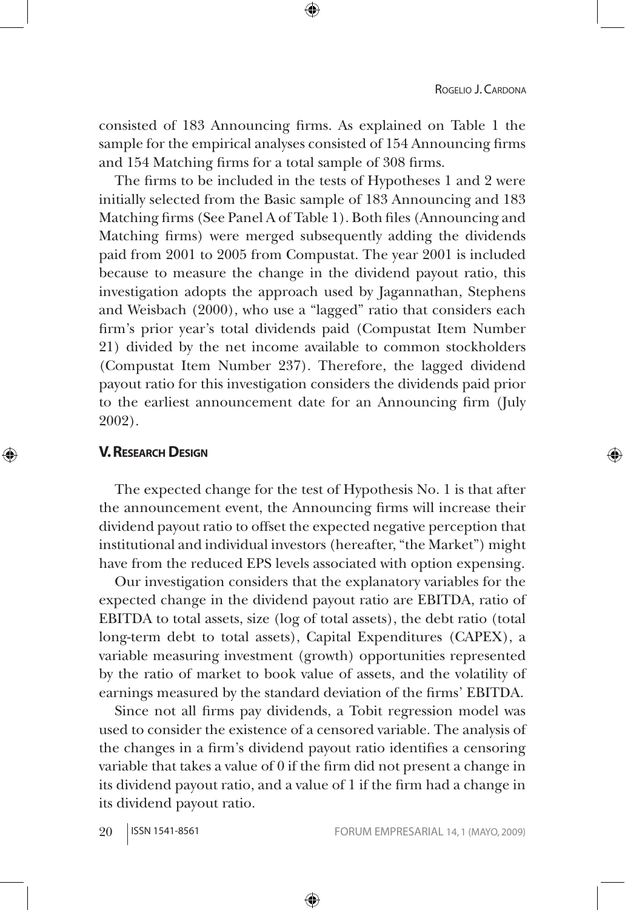consisted of 183 Announcing firms. As explained on Table 1 the sample for the empirical analyses consisted of 154 Announcing firms and 154 Matching firms for a total sample of 308 firms.

⊕

The firms to be included in the tests of Hypotheses 1 and 2 were initially selected from the Basic sample of 183 Announcing and 183 Matching firms (See Panel A of Table 1). Both files (Announcing and Matching firms) were merged subsequently adding the dividends paid from 2001 to 2005 from Compustat. The year 2001 is included because to measure the change in the dividend payout ratio, this investigation adopts the approach used by Jagannathan, Stephens and Weisbach (2000), who use a "lagged" ratio that considers each firm's prior year's total dividends paid (Compustat Item Number 21) divided by the net income available to common stockholders (Compustat Item Number 237). Therefore, the lagged dividend payout ratio for this investigation considers the dividends paid prior to the earliest announcement date for an Announcing firm (July 2002).

## **V. RESEARCH DESIGN**

⊕

The expected change for the test of Hypothesis No. 1 is that after the announcement event, the Announcing firms will increase their dividend payout ratio to offset the expected negative perception that institutional and individual investors (hereafter, "the Market") might have from the reduced EPS levels associated with option expensing.

Our investigation considers that the explanatory variables for the expected change in the dividend payout ratio are EBITDA, ratio of EBITDA to total assets, size (log of total assets), the debt ratio (total long-term debt to total assets), Capital Expenditures (CAPEX), a variable measuring investment (growth) opportunities represented by the ratio of market to book value of assets, and the volatility of earnings measured by the standard deviation of the firms' EBITDA.

Since not all firms pay dividends, a Tobit regression model was used to consider the existence of a censored variable. The analysis of the changes in a firm's dividend payout ratio identifies a censoring variable that takes a value of 0 if the firm did not present a change in its dividend payout ratio, and a value of 1 if the firm had a change in its dividend payout ratio.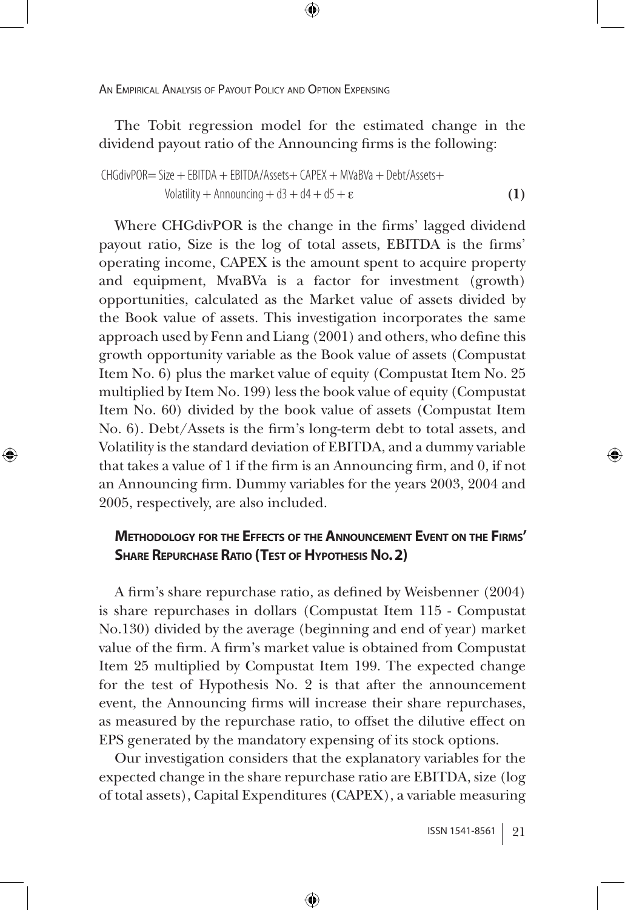⊕

The Tobit regression model for the estimated change in the dividend payout ratio of the Announcing firms is the following:

⊕

$$
CHGdivPOR = Size + EBITDA + EBITDA/Assets + CAPEX + MVaBVa + Debt/Assets + Volatility + Announcing + d3 + d4 + d5 + \varepsilon
$$
\n(1)

Where CHGdivPOR is the change in the firms' lagged dividend payout ratio, Size is the log of total assets, EBITDA is the firms' operating income, CAPEX is the amount spent to acquire property and equipment, MvaBVa is a factor for investment (growth) opportunities, calculated as the Market value of assets divided by the Book value of assets. This investigation incorporates the same approach used by Fenn and Liang (2001) and others, who define this growth opportunity variable as the Book value of assets (Compustat Item No. 6) plus the market value of equity (Compustat Item No. 25 multiplied by Item No. 199) less the book value of equity (Compustat Item No. 60) divided by the book value of assets (Compustat Item No. 6). Debt/Assets is the firm's long-term debt to total assets, and Volatility is the standard deviation of EBITDA, and a dummy variable that takes a value of 1 if the firm is an Announcing firm, and 0, if not an Announcing firm. Dummy variables for the years 2003, 2004 and 2005, respectively, are also included.

## **Methodology for the Effects of the Announcement Event on the Firms' SHARE REPURCHASE RATIO** (TEST OF HYPOTHESIS No. 2)

A firm's share repurchase ratio, as defined by Weisbenner (2004) is share repurchases in dollars (Compustat Item 115 - Compustat No.130) divided by the average (beginning and end of year) market value of the firm. A firm's market value is obtained from Compustat Item 25 multiplied by Compustat Item 199. The expected change for the test of Hypothesis No. 2 is that after the announcement event, the Announcing firms will increase their share repurchases, as measured by the repurchase ratio, to offset the dilutive effect on EPS generated by the mandatory expensing of its stock options.

Our investigation considers that the explanatory variables for the expected change in the share repurchase ratio are EBITDA, size (log of total assets), Capital Expenditures (CAPEX), a variable measuring

⊕

⇔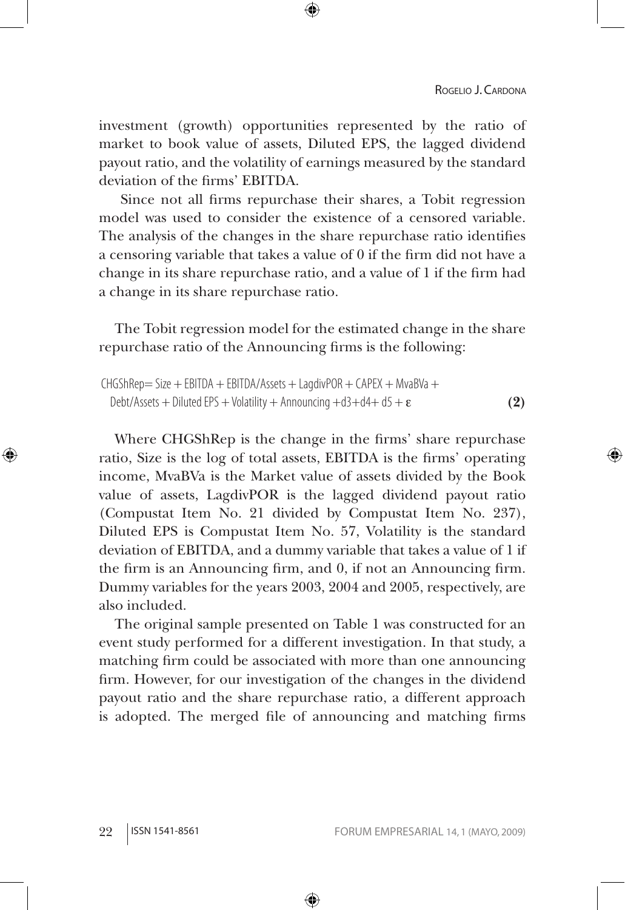investment (growth) opportunities represented by the ratio of market to book value of assets, Diluted EPS, the lagged dividend payout ratio, and the volatility of earnings measured by the standard deviation of the firms' EBITDA.

⊕

 Since not all firms repurchase their shares, a Tobit regression model was used to consider the existence of a censored variable. The analysis of the changes in the share repurchase ratio identifies a censoring variable that takes a value of 0 if the firm did not have a change in its share repurchase ratio, and a value of 1 if the firm had a change in its share repurchase ratio.

The Tobit regression model for the estimated change in the share repurchase ratio of the Announcing firms is the following:

```
CHGShRep = Size + EBITDA + EBITDA/Assets + LagdivPOR + CAPEX + MvaBVa +Debt/Assets + Diluted EPS + Volatility + Announcing +d3+d4+d5 + \epsilon (2)
```
Where CHGShRep is the change in the firms' share repurchase ratio, Size is the log of total assets, EBITDA is the firms' operating income, MvaBVa is the Market value of assets divided by the Book value of assets, LagdivPOR is the lagged dividend payout ratio (Compustat Item No. 21 divided by Compustat Item No. 237), Diluted EPS is Compustat Item No. 57, Volatility is the standard deviation of EBITDA, and a dummy variable that takes a value of 1 if the firm is an Announcing firm, and 0, if not an Announcing firm. Dummy variables for the years 2003, 2004 and 2005, respectively, are also included.

The original sample presented on Table 1 was constructed for an event study performed for a different investigation. In that study, a matching firm could be associated with more than one announcing firm. However, for our investigation of the changes in the dividend payout ratio and the share repurchase ratio, a different approach is adopted. The merged file of announcing and matching firms

⊕

↔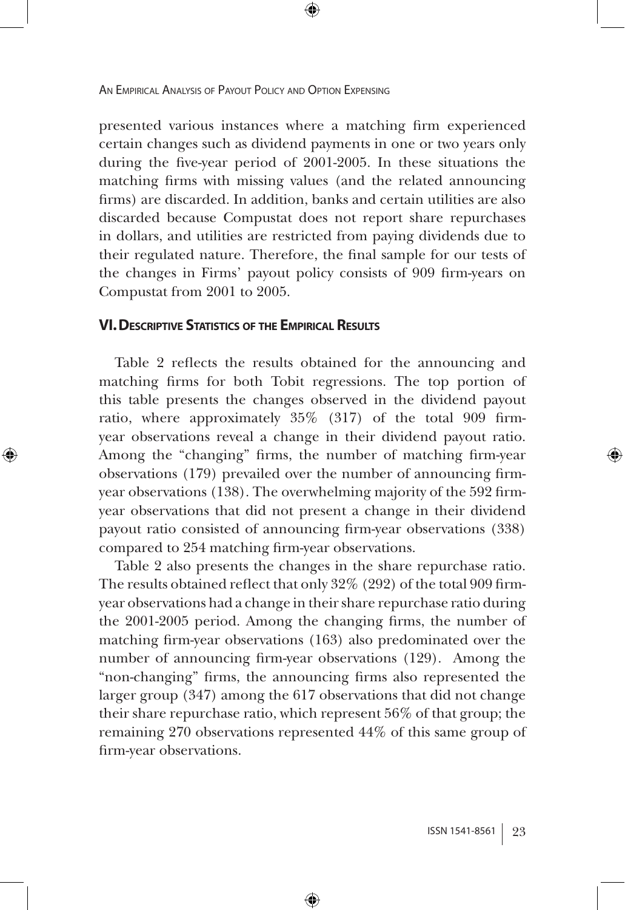presented various instances where a matching firm experienced certain changes such as dividend payments in one or two years only during the five-year period of 2001-2005. In these situations the matching firms with missing values (and the related announcing firms) are discarded. In addition, banks and certain utilities are also discarded because Compustat does not report share repurchases in dollars, and utilities are restricted from paying dividends due to their regulated nature. Therefore, the final sample for our tests of the changes in Firms' payout policy consists of 909 firm-years on Compustat from 2001 to 2005.

⊕

## **VI. Descriptive Statistics of the Empirical Results**

⊕

Table 2 reflects the results obtained for the announcing and matching firms for both Tobit regressions. The top portion of this table presents the changes observed in the dividend payout ratio, where approximately 35% (317) of the total 909 firmyear observations reveal a change in their dividend payout ratio. Among the "changing" firms, the number of matching firm-year observations (179) prevailed over the number of announcing firmyear observations (138). The overwhelming majority of the 592 firmyear observations that did not present a change in their dividend payout ratio consisted of announcing firm-year observations (338) compared to 254 matching firm-year observations.

Table 2 also presents the changes in the share repurchase ratio. The results obtained reflect that only 32% (292) of the total 909 firmyear observations had a change in their share repurchase ratio during the 2001-2005 period. Among the changing firms, the number of matching firm-year observations (163) also predominated over the number of announcing firm-year observations (129). Among the "non-changing" firms, the announcing firms also represented the larger group (347) among the 617 observations that did not change their share repurchase ratio, which represent 56% of that group; the remaining 270 observations represented 44% of this same group of firm-year observations.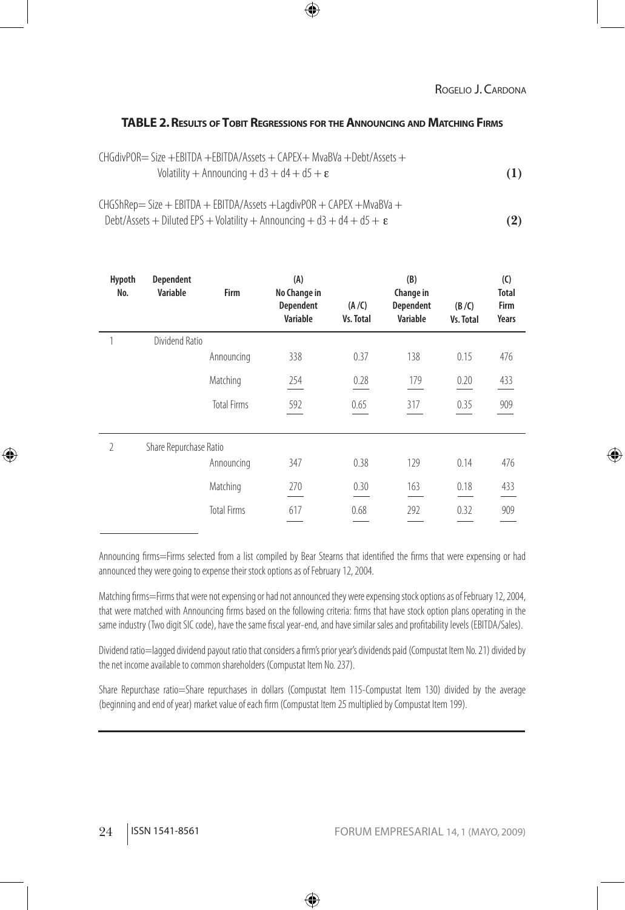#### ROGELIO J. CARDONA

⊕

#### **TABLE 2. Results ofTobit Regressions for theAnnouncing and Matching Firms**

| CHGdivPOR= Size +EBITDA +EBITDA/Assets + CAPEX+ MvaBVa +Debt/Assets + |     |
|-----------------------------------------------------------------------|-----|
| Volatility + Announcing + $d3 + d4 + d5 + \epsilon$                   | (1) |

CHGShRep= Size + EBITDA + EBITDA/Assets +LagdivPOR + CAPEX +MvaBVa + Debt/Assets + Diluted EPS + Volatility + Announcing +  $d3 + d4 + d5 + \varepsilon$  **(2)** 

| Hypoth<br>No.  | <b>Dependent</b><br><b>Variable</b> | <b>Firm</b>        | (A)<br>No Change in<br><b>Dependent</b><br><b>Variable</b> | (A / C)<br><b>Vs. Total</b> | (B)<br>Change in<br><b>Dependent</b><br><b>Variable</b> | (B/C)<br>Vs. Total | (C)<br><b>Total</b><br>Firm<br>Years |
|----------------|-------------------------------------|--------------------|------------------------------------------------------------|-----------------------------|---------------------------------------------------------|--------------------|--------------------------------------|
|                | Dividend Ratio                      |                    |                                                            |                             |                                                         |                    |                                      |
|                |                                     | Announcing         | 338                                                        | 0.37                        | 138                                                     | 0.15               | 476                                  |
|                |                                     | Matching           | 254                                                        | 0.28                        | 179                                                     | 0.20               | 433                                  |
|                |                                     | <b>Total Firms</b> | 592                                                        | 0.65                        | 317                                                     | 0.35               | 909                                  |
| $\overline{2}$ | Share Repurchase Ratio              |                    |                                                            |                             |                                                         |                    |                                      |
|                |                                     | Announcing         | 347                                                        | 0.38                        | 129                                                     | 0.14               | 476                                  |
|                |                                     | Matching           | 270                                                        | 0.30                        | 163                                                     | 0.18               | 433                                  |
|                |                                     | <b>Total Firms</b> | 617                                                        | 0.68                        | 292                                                     | 0.32               | 909                                  |

Announcing firms=Firms selected from a list compiled by Bear Stearns that identified the firms that were expensing or had announced they were going to expense their stock options as of February 12, 2004.

Matching firms=Firms that were not expensing or had not announced they were expensing stock options as of February 12, 2004, that were matched with Announcing firms based on the following criteria: firms that have stock option plans operating in the same industry (Two digit SIC code), have the same fiscal year-end, and have similar sales and profitability levels (EBITDA/Sales).

Dividend ratio=lagged dividend payout ratio that considers a firm's prior year's dividends paid (Compustat Item No. 21) divided by the net income available to common shareholders (Compustat Item No. 237).

Share Repurchase ratio=Share repurchases in dollars (Compustat Item 115-Compustat Item 130) divided by the average (beginning and end of year) market value of each firm (Compustat Item 25 multiplied by Compustat Item 199).

⊕

♠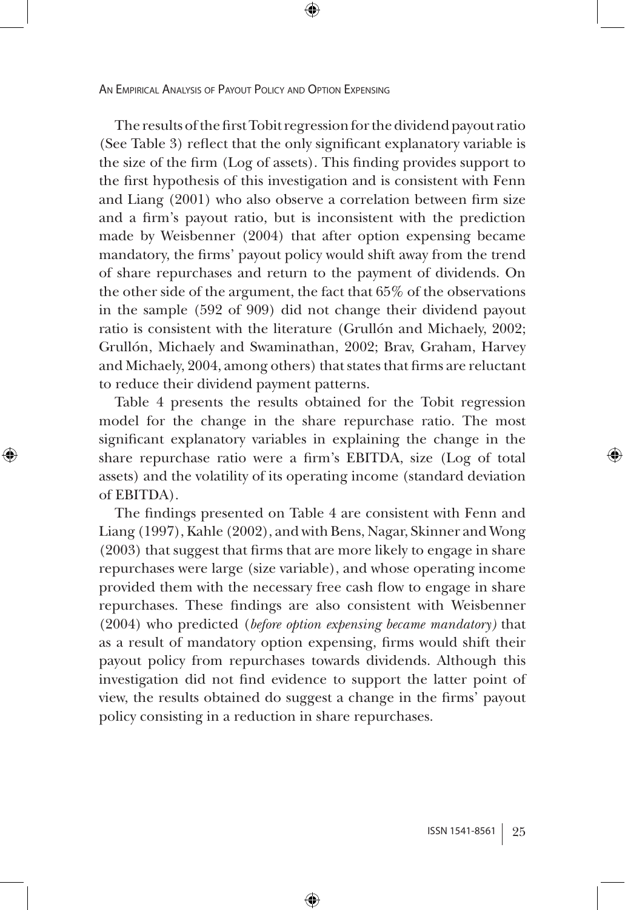The results of the first Tobit regression for the dividend payout ratio (See Table 3) reflect that the only significant explanatory variable is the size of the firm (Log of assets). This finding provides support to the first hypothesis of this investigation and is consistent with Fenn and Liang (2001) who also observe a correlation between firm size and a firm's payout ratio, but is inconsistent with the prediction made by Weisbenner (2004) that after option expensing became mandatory, the firms' payout policy would shift away from the trend of share repurchases and return to the payment of dividends. On the other side of the argument, the fact that 65% of the observations in the sample (592 of 909) did not change their dividend payout ratio is consistent with the literature (Grullón and Michaely, 2002; Grullón, Michaely and Swaminathan, 2002; Brav, Graham, Harvey and Michaely, 2004, among others) that states that firms are reluctant to reduce their dividend payment patterns.

⊕

Table 4 presents the results obtained for the Tobit regression model for the change in the share repurchase ratio. The most significant explanatory variables in explaining the change in the share repurchase ratio were a firm's EBITDA, size (Log of total assets) and the volatility of its operating income (standard deviation of EBITDA).

⊕

The findings presented on Table 4 are consistent with Fenn and Liang (1997), Kahle (2002), and with Bens, Nagar, Skinner and Wong (2003) that suggest that firms that are more likely to engage in share repurchases were large (size variable), and whose operating income provided them with the necessary free cash flow to engage in share repurchases. These findings are also consistent with Weisbenner (2004) who predicted (*before option expensing became mandatory)* that as a result of mandatory option expensing, firms would shift their payout policy from repurchases towards dividends. Although this investigation did not find evidence to support the latter point of view, the results obtained do suggest a change in the firms' payout policy consisting in a reduction in share repurchases.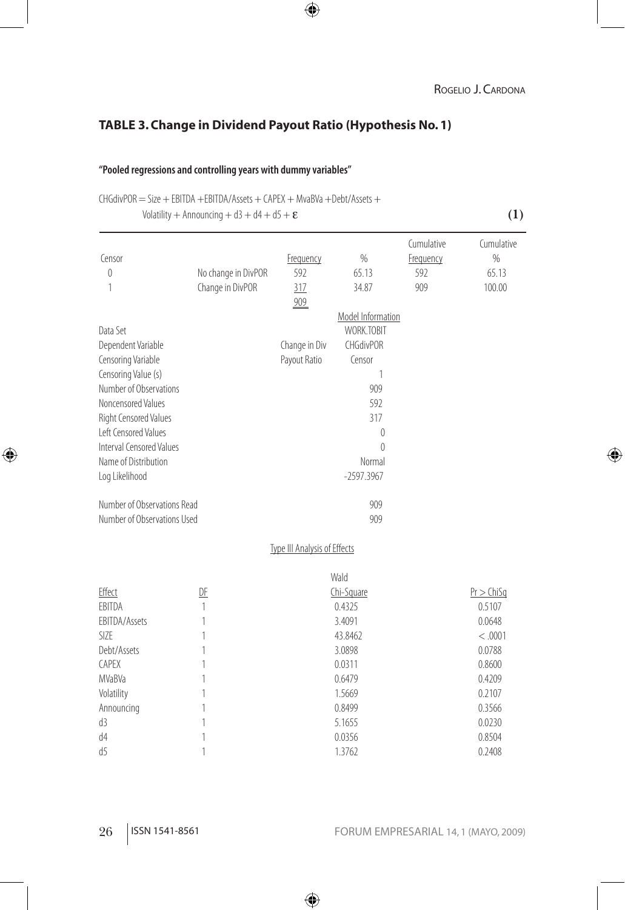#### ROGELIO J. CARDONA

## **TABLE 3. Change in Dividend Payout Ratio (Hypothesis No. 1)**

 $\bigoplus$ 

#### **"Pooled regressions and controlling years with dummy variables"**

 $CHGdivPOR = Size + EBITDA + EBITDA/Assets + CAPEX + MvaBVa + Debt/Assets +$ 

Volatility + Announcing + d3 + d4 + d5 +  $\varepsilon$  **(1)** 

⊕

| Censor                      |                     | Frequency                    | $\%$                     | Cumulative<br>Frequency | Cumulative<br>$\%$ |
|-----------------------------|---------------------|------------------------------|--------------------------|-------------------------|--------------------|
| $\overline{0}$              | No change in DivPOR | 592                          | 65.13                    | 592                     | 65.13              |
| 1                           | Change in DivPOR    | 317                          | 34.87                    | 909                     | 100.00             |
|                             |                     | 909                          |                          |                         |                    |
|                             |                     |                              | <b>Model Information</b> |                         |                    |
| Data Set                    |                     |                              | WORK.TOBIT               |                         |                    |
| Dependent Variable          |                     | Change in Div                | <b>CHGdivPOR</b>         |                         |                    |
| Censoring Variable          |                     | Payout Ratio                 | Censor                   |                         |                    |
| Censoring Value (s)         |                     |                              | 1                        |                         |                    |
| Number of Observations      |                     |                              | 909                      |                         |                    |
| Noncensored Values          |                     |                              | 592                      |                         |                    |
| Right Censored Values       |                     |                              | 317                      |                         |                    |
| Left Censored Values        |                     |                              | 0                        |                         |                    |
| Interval Censored Values    |                     |                              | $\Omega$                 |                         |                    |
| Name of Distribution        |                     |                              | Normal                   |                         |                    |
| Log Likelihood              |                     |                              | $-2597.3967$             |                         |                    |
| Number of Observations Read |                     |                              | 909                      |                         |                    |
| Number of Observations Used |                     |                              | 909                      |                         |                    |
|                             |                     |                              |                          |                         |                    |
|                             |                     | Type III Analysis of Effects |                          |                         |                    |
|                             |                     |                              | Wald                     |                         |                    |
| Effect                      | DF                  |                              | Chi-Square               |                         | $Pr$ $>$ ChiSq     |
| <b>FBITDA</b>               | 1                   |                              | 0.4325                   |                         | 0.5107             |
| EBITDA/Assets               | 1                   |                              | 3.4091                   |                         | 0.0648             |
| SI <sub>7</sub> F           | 1                   |                              | 43.8462                  |                         | < .0001            |
| Debt/Assets                 | 1                   |                              | 3.0898                   |                         | 0.0788             |
| <b>CAPEX</b>                | 1                   |                              | 0.0311                   |                         | 0.8600             |
| <b>MVaBVa</b>               | 1                   |                              | 0.6479                   |                         | 0.4209             |
| Volatility                  | 1                   |                              | 1.5669                   |                         | 0.2107             |
| Announcing                  | 1                   |                              | 0.8499                   |                         | 0.3566             |
| d3                          | 1                   |                              | 5.1655                   |                         | 0.0230             |
| d4                          | 1                   |                              | 0.0356                   |                         | 0.8504             |
| d5                          | 1                   |                              | 1.3762                   |                         | 0.2408             |

 $\bigoplus$ 

## 26 ISSN 1541-8561 FORUM EMPRESARIAL 14, 1 (mayo, 2009)

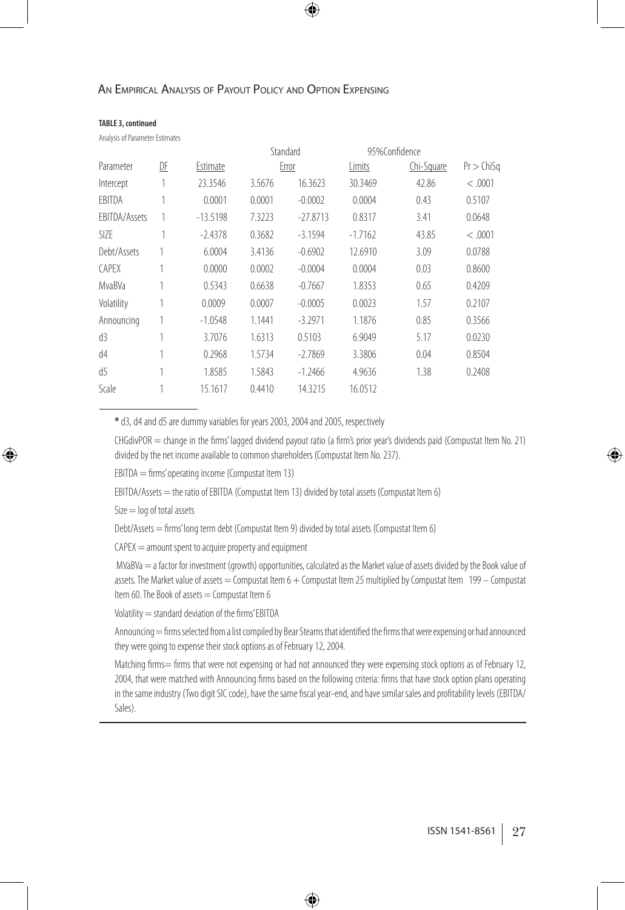#### **TABLE 3, continued**

Analysis of Parameter Estimates

|               |    |            | Standard |            | 95%Confidence |            |                |
|---------------|----|------------|----------|------------|---------------|------------|----------------|
| Parameter     | DF | Estimate   |          | Error      | Limits        | Chi-Square | $Pr$ $>$ ChiSq |
| Intercept     | 1  | 23.3546    | 3.5676   | 16.3623    | 30.3469       | 42.86      | < 0.001        |
| EBITDA        | 1  | 0.0001     | 0.0001   | $-0.0002$  | 0.0004        | 0.43       | 0.5107         |
| EBITDA/Assets | 1  | $-13.5198$ | 7.3223   | $-27.8713$ | 0.8317        | 3.41       | 0.0648         |
| SIZE          | 1  | $-2.4378$  | 0.3682   | $-3.1594$  | $-1.7162$     | 43.85      | < 0.001        |
| Debt/Assets   |    | 6.0004     | 3.4136   | $-0.6902$  | 12.6910       | 3.09       | 0.0788         |
| <b>CAPEX</b>  |    | 0.0000     | 0.0002   | $-0.0004$  | 0.0004        | 0.03       | 0.8600         |
| MvaBVa        |    | 0.5343     | 0.6638   | $-0.7667$  | 1.8353        | 0.65       | 0.4209         |
| Volatility    |    | 0.0009     | 0.0007   | $-0.0005$  | 0.0023        | 1.57       | 0.2107         |
| Announcing    |    | $-1.0548$  | 1.1441   | $-3.2971$  | 1.1876        | 0.85       | 0.3566         |
| d3            |    | 3.7076     | 1.6313   | 0.5103     | 6.9049        | 5.17       | 0.0230         |
| d4            |    | 0.2968     | 1.5734   | $-2.7869$  | 3.3806        | 0.04       | 0.8504         |
| d5            |    | 1.8585     | 1.5843   | $-1.2466$  | 4.9636        | 1.38       | 0.2408         |
| Scale         |    | 15.1617    | 0.4410   | 14.3215    | 16.0512       |            |                |
|               |    |            |          |            |               |            |                |

⊕

**\*** d3, d4 and d5 are dummy variables for years 2003, 2004 and 2005, respectively

 $CHGdivPOR = change in the firms' laged dividend payoff ratio (a firm's prior years' s dividend's paid (Computat Item No. 21)$ divided by the net income available to common shareholders (Compustat Item No. 237).

EBITDA = firms' operating income (Compustat Item 13)

 $EBITDA/Assets =$  the ratio of  $EBITDA$  (Compustat Item 13) divided by total assets (Compustat Item 6)

Size = log of total assets

⊕

Debt/Assets = firms' long term debt (Compustat Item 9) divided by total assets (Compustat Item 6)

 $CAPEX =$  amount spent to acquire property and equipment

 MVaBVa = a factor for investment (growth) opportunities, calculated as the Market value of assets divided by the Book value of assets. The Market value of assets = Compustat Item  $6 +$  Compustat Item 25 multiplied by Compustat Item  $199 -$ Compustat Item 60. The Book of assets  $=$  Compustat Item 6

Volatility = standard deviation of the firms' EBITDA

Announcing = firms selected from a list compiled by Bear Stearns that identified the firms that were expensing or had announced they were going to expense their stock options as of February 12, 2004.

Matching firms= firms that were not expensing or had not announced they were expensing stock options as of February 12, 2004, that were matched with Announcing firms based on the following criteria: firms that have stock option plans operating in the same industry (Two digit SIC code), have the same fiscal year-end, and have similar sales and profitability levels (EBITDA/ Sales).

♠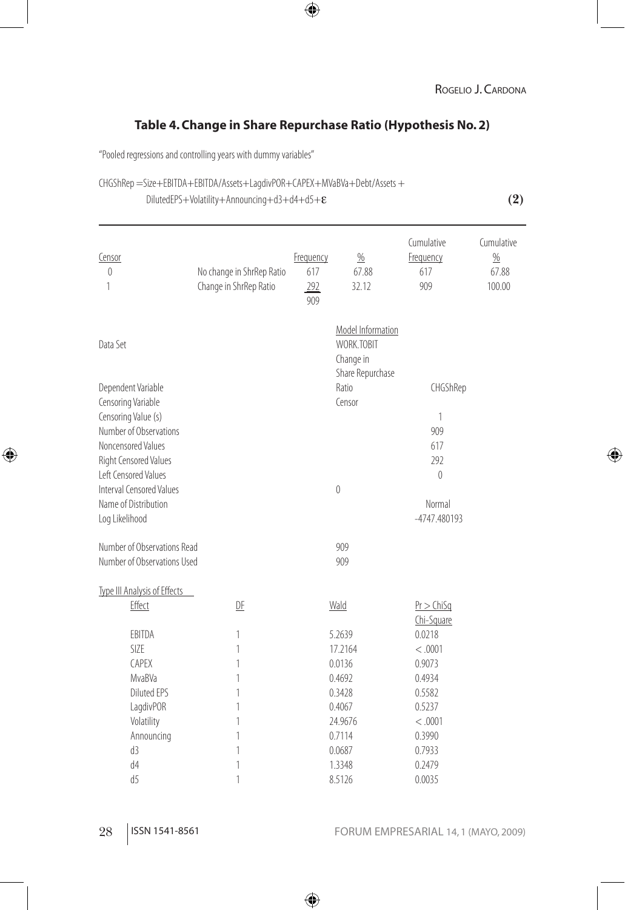#### ROGELIO J. CARDONA

## **Table 4. Change in Share Repurchase Ratio (Hypothesis No. 2)**

 $\bigoplus$ 

"Pooled regressions and controlling years with dummy variables"

#### CHGShRep =Size+EBITDA+EBITDA/Assets+LagdivPOR+CAPEX+MVaBVa+Debt/Assets +

DilutedEPS+Volatility+Announcing+d3+d4+d5+ε **(2)**

⊕

| Model Information<br>WORK.TOBIT<br>Data Set<br>Change in<br>Share Repurchase<br>Dependent Variable<br>Ratio<br>CHGShRep<br>Censor<br>Censoring Variable<br>Censoring Value (s)<br>1<br>Number of Observations<br>909<br>Noncensored Values<br>617<br>292<br>Right Censored Values<br>Left Censored Values<br>$\theta$<br>Interval Censored Values<br>$\mathbf 0$<br>Name of Distribution<br>Normal<br>Log Likelihood<br>-4747.480193<br>Number of Observations Read<br>909<br>Number of Observations Used<br>909<br>Type III Analysis of Effects<br>Effect<br>D <sub>F</sub><br>Wald<br>$Pr$ $>$ ChiSq<br>Chi-Square<br>EBITDA<br>0.0218<br>5.2639<br>1<br>SIZE<br>17.2164<br>1<br>< .0001<br><b>CAPEX</b><br>0.0136<br>0.9073<br>1<br>MvaBVa<br>1<br>0.4692<br>0.4934<br><b>Diluted EPS</b><br>0.5582<br>1<br>0.3428<br>0.5237<br>LagdivPOR<br>1<br>0.4067<br>Volatility<br>24.9676<br>< .0001<br>1<br>0.3990<br>Announcing<br>1<br>0.7114<br>d3<br>1<br>0.7933<br>0.0687<br>d4<br>1<br>1.3348<br>0.2479<br>8.5126 | Censor<br>0<br>1 | No change in ShrRep Ratio<br>Change in ShrRep Ratio | Frequency<br>617<br>292<br>909 | $\frac{0}{0}$<br>67.88<br>32.12 | Cumulative<br>Frequency<br>617<br>909 | Cumulative<br>$\frac{0}{0}$<br>67.88<br>100.00 |
|---------------------------------------------------------------------------------------------------------------------------------------------------------------------------------------------------------------------------------------------------------------------------------------------------------------------------------------------------------------------------------------------------------------------------------------------------------------------------------------------------------------------------------------------------------------------------------------------------------------------------------------------------------------------------------------------------------------------------------------------------------------------------------------------------------------------------------------------------------------------------------------------------------------------------------------------------------------------------------------------------------------------|------------------|-----------------------------------------------------|--------------------------------|---------------------------------|---------------------------------------|------------------------------------------------|
|                                                                                                                                                                                                                                                                                                                                                                                                                                                                                                                                                                                                                                                                                                                                                                                                                                                                                                                                                                                                                     |                  |                                                     |                                |                                 |                                       |                                                |
|                                                                                                                                                                                                                                                                                                                                                                                                                                                                                                                                                                                                                                                                                                                                                                                                                                                                                                                                                                                                                     |                  |                                                     |                                |                                 |                                       |                                                |
|                                                                                                                                                                                                                                                                                                                                                                                                                                                                                                                                                                                                                                                                                                                                                                                                                                                                                                                                                                                                                     |                  |                                                     |                                |                                 |                                       |                                                |
|                                                                                                                                                                                                                                                                                                                                                                                                                                                                                                                                                                                                                                                                                                                                                                                                                                                                                                                                                                                                                     |                  |                                                     |                                |                                 |                                       |                                                |
|                                                                                                                                                                                                                                                                                                                                                                                                                                                                                                                                                                                                                                                                                                                                                                                                                                                                                                                                                                                                                     |                  |                                                     |                                |                                 |                                       |                                                |
|                                                                                                                                                                                                                                                                                                                                                                                                                                                                                                                                                                                                                                                                                                                                                                                                                                                                                                                                                                                                                     |                  |                                                     |                                |                                 |                                       |                                                |
|                                                                                                                                                                                                                                                                                                                                                                                                                                                                                                                                                                                                                                                                                                                                                                                                                                                                                                                                                                                                                     |                  |                                                     |                                |                                 |                                       |                                                |
|                                                                                                                                                                                                                                                                                                                                                                                                                                                                                                                                                                                                                                                                                                                                                                                                                                                                                                                                                                                                                     |                  |                                                     |                                |                                 |                                       |                                                |
|                                                                                                                                                                                                                                                                                                                                                                                                                                                                                                                                                                                                                                                                                                                                                                                                                                                                                                                                                                                                                     |                  |                                                     |                                |                                 |                                       |                                                |
|                                                                                                                                                                                                                                                                                                                                                                                                                                                                                                                                                                                                                                                                                                                                                                                                                                                                                                                                                                                                                     |                  |                                                     |                                |                                 |                                       |                                                |
|                                                                                                                                                                                                                                                                                                                                                                                                                                                                                                                                                                                                                                                                                                                                                                                                                                                                                                                                                                                                                     |                  |                                                     |                                |                                 |                                       |                                                |
|                                                                                                                                                                                                                                                                                                                                                                                                                                                                                                                                                                                                                                                                                                                                                                                                                                                                                                                                                                                                                     |                  |                                                     |                                |                                 |                                       |                                                |
|                                                                                                                                                                                                                                                                                                                                                                                                                                                                                                                                                                                                                                                                                                                                                                                                                                                                                                                                                                                                                     |                  |                                                     |                                |                                 |                                       |                                                |
|                                                                                                                                                                                                                                                                                                                                                                                                                                                                                                                                                                                                                                                                                                                                                                                                                                                                                                                                                                                                                     |                  |                                                     |                                |                                 |                                       |                                                |
|                                                                                                                                                                                                                                                                                                                                                                                                                                                                                                                                                                                                                                                                                                                                                                                                                                                                                                                                                                                                                     |                  |                                                     |                                |                                 |                                       |                                                |
|                                                                                                                                                                                                                                                                                                                                                                                                                                                                                                                                                                                                                                                                                                                                                                                                                                                                                                                                                                                                                     |                  |                                                     |                                |                                 |                                       |                                                |
|                                                                                                                                                                                                                                                                                                                                                                                                                                                                                                                                                                                                                                                                                                                                                                                                                                                                                                                                                                                                                     |                  |                                                     |                                |                                 |                                       |                                                |
|                                                                                                                                                                                                                                                                                                                                                                                                                                                                                                                                                                                                                                                                                                                                                                                                                                                                                                                                                                                                                     |                  |                                                     |                                |                                 |                                       |                                                |
|                                                                                                                                                                                                                                                                                                                                                                                                                                                                                                                                                                                                                                                                                                                                                                                                                                                                                                                                                                                                                     |                  |                                                     |                                |                                 |                                       |                                                |
|                                                                                                                                                                                                                                                                                                                                                                                                                                                                                                                                                                                                                                                                                                                                                                                                                                                                                                                                                                                                                     |                  |                                                     |                                |                                 |                                       |                                                |
|                                                                                                                                                                                                                                                                                                                                                                                                                                                                                                                                                                                                                                                                                                                                                                                                                                                                                                                                                                                                                     |                  |                                                     |                                |                                 |                                       |                                                |
|                                                                                                                                                                                                                                                                                                                                                                                                                                                                                                                                                                                                                                                                                                                                                                                                                                                                                                                                                                                                                     |                  |                                                     |                                |                                 |                                       |                                                |
|                                                                                                                                                                                                                                                                                                                                                                                                                                                                                                                                                                                                                                                                                                                                                                                                                                                                                                                                                                                                                     |                  |                                                     |                                |                                 |                                       |                                                |
|                                                                                                                                                                                                                                                                                                                                                                                                                                                                                                                                                                                                                                                                                                                                                                                                                                                                                                                                                                                                                     |                  |                                                     |                                |                                 |                                       |                                                |
|                                                                                                                                                                                                                                                                                                                                                                                                                                                                                                                                                                                                                                                                                                                                                                                                                                                                                                                                                                                                                     |                  |                                                     |                                |                                 |                                       |                                                |
|                                                                                                                                                                                                                                                                                                                                                                                                                                                                                                                                                                                                                                                                                                                                                                                                                                                                                                                                                                                                                     |                  |                                                     |                                |                                 |                                       |                                                |
|                                                                                                                                                                                                                                                                                                                                                                                                                                                                                                                                                                                                                                                                                                                                                                                                                                                                                                                                                                                                                     |                  |                                                     |                                |                                 |                                       |                                                |
|                                                                                                                                                                                                                                                                                                                                                                                                                                                                                                                                                                                                                                                                                                                                                                                                                                                                                                                                                                                                                     | d <sub>5</sub>   | 1                                                   |                                |                                 | 0.0035                                |                                                |

 $\bigoplus$ 

 $\bigoplus$ 

28 ISSN 1541-8561 FORUM EMPRESARIAL 14, 1 (mayo, 2009)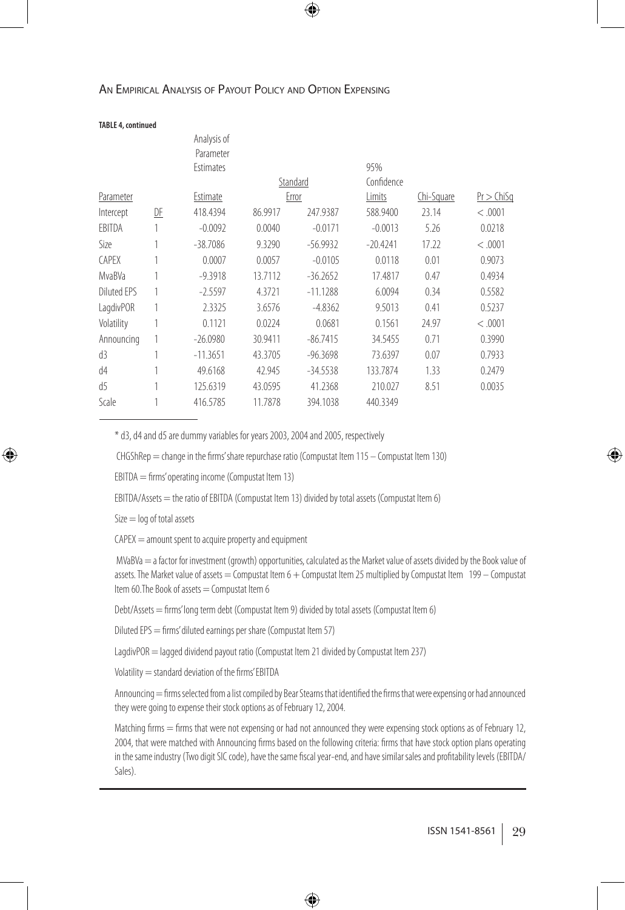#### ⊕

#### An Empirical Analysis of Payout Policy and Option Expensing

#### **TABLE 4, continued**

|                    |    | Analysis of                   |         |            |            |            |                |
|--------------------|----|-------------------------------|---------|------------|------------|------------|----------------|
|                    |    | Parameter<br><b>Estimates</b> |         |            | 95%        |            |                |
|                    |    |                               |         | Standard   | Confidence |            |                |
| Parameter          |    | Estimate                      |         | Error      | Limits     | Chi-Square | $Pr$ $>$ ChiSq |
| Intercept          | DE | 418.4394                      | 86.9917 | 247.9387   | 588.9400   | 23.14      | < 0.001        |
| EBITDA             |    | $-0.0092$                     | 0.0040  | $-0.0171$  | $-0.0013$  | 5.26       | 0.0218         |
| Size               |    | $-38.7086$                    | 9.3290  | $-56.9932$ | $-20.4241$ | 17.22      | < 0.001        |
| <b>CAPEX</b>       |    | 0.0007                        | 0.0057  | $-0.0105$  | 0.0118     | 0.01       | 0.9073         |
| MvaBVa             | 1  | $-9.3918$                     | 13.7112 | $-36.2652$ | 17.4817    | 0.47       | 0.4934         |
| <b>Diluted EPS</b> | 1  | $-2.5597$                     | 4.3721  | $-11.1288$ | 6.0094     | 0.34       | 0.5582         |
| LagdivPOR          | 1  | 2.3325                        | 3.6576  | $-4.8362$  | 9.5013     | 0.41       | 0.5237         |
| Volatility         | 1  | 0.1121                        | 0.0224  | 0.0681     | 0.1561     | 24.97      | < 0.001        |
| Announcing         | 1  | $-26.0980$                    | 30.9411 | $-86.7415$ | 34.5455    | 0.71       | 0.3990         |
| d3                 | 1  | $-11.3651$                    | 43.3705 | $-96.3698$ | 73.6397    | 0.07       | 0.7933         |
| d4                 | 1  | 49.6168                       | 42.945  | $-34.5538$ | 133.7874   | 1.33       | 0.2479         |
| d5                 | 1  | 125.6319                      | 43.0595 | 41.2368    | 210.027    | 8.51       | 0.0035         |
| Scale              |    | 416.5785                      | 11.7878 | 394.1038   | 440.3349   |            |                |
|                    |    |                               |         |            |            |            |                |

\* d3, d4 and d5 are dummy variables for years 2003, 2004 and 2005, respectively

 $CHGShRep = change in the firms's hare repurchase ratio (Computat Item 115 – Comput.$ 

EBITDA = firms' operating income (Compustat Item 13)

EBITDA/Assets = the ratio of EBITDA (Compustat Item 13) divided by total assets (Compustat Item 6)

 $Size = log of total assets$ 

j

⊕

CAPEX = amount spent to acquire property and equipment

 MVaBVa = a factor for investment (growth) opportunities, calculated as the Market value of assets divided by the Book value of assets. The Market value of assets = Compustat Item  $6 +$  Compustat Item 25 multiplied by Compustat Item 199 – Compustat Item 60. The Book of assets  $=$  Compustat Item 6

Debt/Assets = firms' long term debt (Compustat Item 9) divided by total assets (Compustat Item 6)

Diluted EPS = firms' diluted earnings per share (Compustat Item 57)

LagdivPOR = lagged dividend payout ratio (Compustat Item 21 divided by Compustat Item 237)

Volatility = standard deviation of the firms' EBITDA

Announcing = firms selected from a list compiled by Bear Stearns that identified the firms that were expensing or had announced they were going to expense their stock options as of February 12, 2004.

Matching firms = firms that were not expensing or had not announced they were expensing stock options as of February 12, 2004, that were matched with Announcing firms based on the following criteria: firms that have stock option plans operating in the same industry (Two digit SIC code), have the same fiscal year-end, and have similar sales and profitability levels (EBITDA/ Sales).

♠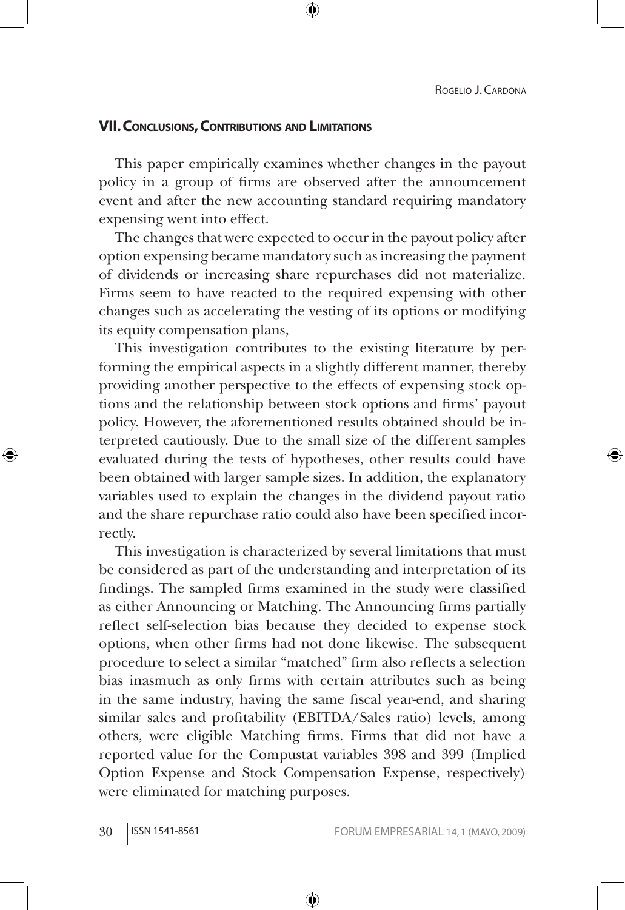## **Vii. Conclusions, Contributions and Limitations**

This paper empirically examines whether changes in the payout policy in a group of firms are observed after the announcement event and after the new accounting standard requiring mandatory expensing went into effect.

The changes that were expected to occur in the payout policy after option expensing became mandatory such as increasing the payment of dividends or increasing share repurchases did not materialize. Firms seem to have reacted to the required expensing with other changes such as accelerating the vesting of its options or modifying its equity compensation plans,

This investigation contributes to the existing literature by performing the empirical aspects in a slightly different manner, thereby providing another perspective to the effects of expensing stock options and the relationship between stock options and firms' payout policy. However, the aforementioned results obtained should be interpreted cautiously. Due to the small size of the different samples evaluated during the tests of hypotheses, other results could have been obtained with larger sample sizes. In addition, the explanatory variables used to explain the changes in the dividend payout ratio and the share repurchase ratio could also have been specified incorrectly.

This investigation is characterized by several limitations that must be considered as part of the understanding and interpretation of its findings. The sampled firms examined in the study were classified as either Announcing or Matching. The Announcing firms partially reflect self-selection bias because they decided to expense stock options, when other firms had not done likewise. The subsequent procedure to select a similar "matched" firm also reflects a selection bias inasmuch as only firms with certain attributes such as being in the same industry, having the same fiscal year-end, and sharing similar sales and profitability (EBITDA/Sales ratio) levels, among others, were eligible Matching firms. Firms that did not have a reported value for the Compustat variables 398 and 399 (Implied Option Expense and Stock Compensation Expense, respectively) were eliminated for matching purposes.

↔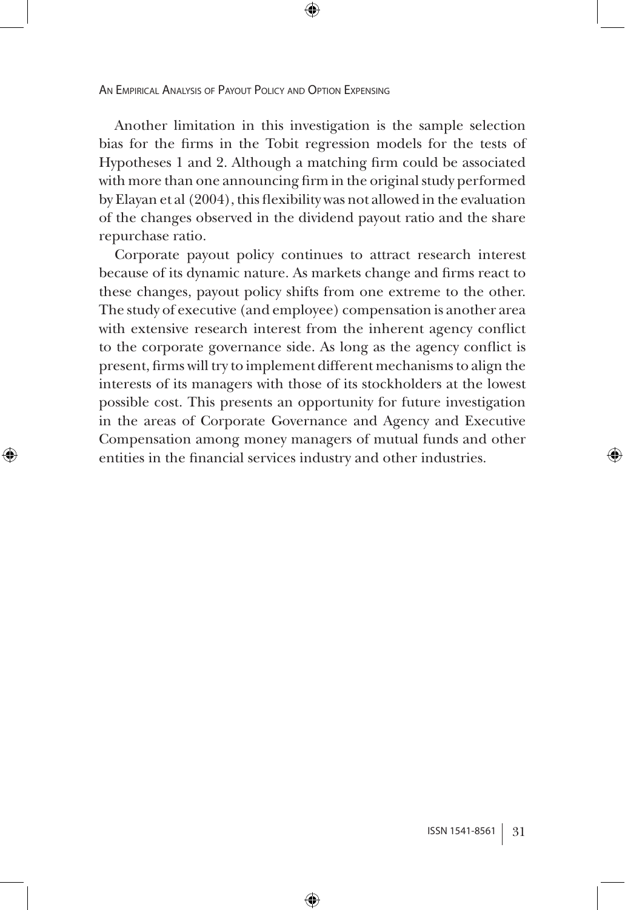↔

Another limitation in this investigation is the sample selection bias for the firms in the Tobit regression models for the tests of Hypotheses 1 and 2. Although a matching firm could be associated with more than one announcing firm in the original study performed by Elayan et al (2004), this flexibility was not allowed in the evaluation of the changes observed in the dividend payout ratio and the share repurchase ratio.

⊕

Corporate payout policy continues to attract research interest because of its dynamic nature. As markets change and firms react to these changes, payout policy shifts from one extreme to the other. The study of executive (and employee) compensation is another area with extensive research interest from the inherent agency conflict to the corporate governance side. As long as the agency conflict is present, firms will try to implement different mechanisms to align the interests of its managers with those of its stockholders at the lowest possible cost. This presents an opportunity for future investigation in the areas of Corporate Governance and Agency and Executive Compensation among money managers of mutual funds and other entities in the financial services industry and other industries.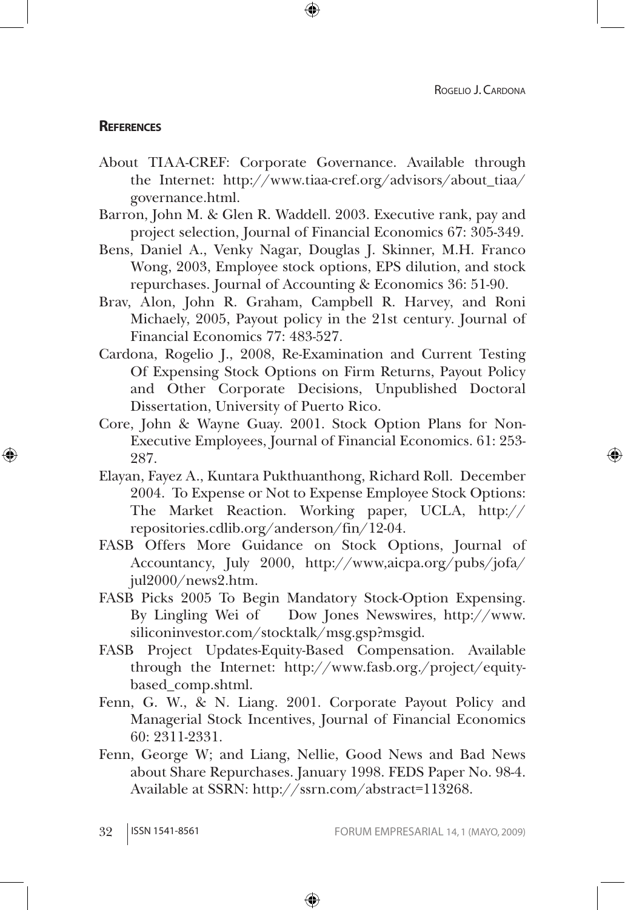↔

#### **References**

⊕

About TIAA-CREF: Corporate Governance. Available through the Internet: http://www.tiaa-cref.org/advisors/about\_tiaa/ governance.html.

⊕

- Barron, John M. & Glen R. Waddell. 2003. Executive rank, pay and project selection, Journal of Financial Economics 67: 305-349.
- Bens, Daniel A., Venky Nagar, Douglas J. Skinner, M.H. Franco Wong, 2003, Employee stock options, EPS dilution, and stock repurchases. Journal of Accounting & Economics 36: 51-90.
- Brav, Alon, John R. Graham, Campbell R. Harvey, and Roni Michaely, 2005, Payout policy in the 21st century. Journal of Financial Economics 77: 483-527.
- Cardona, Rogelio J., 2008, Re-Examination and Current Testing Of Expensing Stock Options on Firm Returns, Payout Policy and Other Corporate Decisions, Unpublished Doctoral Dissertation, University of Puerto Rico.
- Core, John & Wayne Guay. 2001. Stock Option Plans for Non-Executive Employees, Journal of Financial Economics. 61: 253- 287.
- Elayan, Fayez A., Kuntara Pukthuanthong, Richard Roll. December 2004. To Expense or Not to Expense Employee Stock Options: The Market Reaction. Working paper, UCLA, http:// repositories.cdlib.org/anderson/fin/12-04.
- FASB Offers More Guidance on Stock Options, Journal of Accountancy, July 2000, http://www,aicpa.org/pubs/jofa/ jul2000/news2.htm.
- FASB Picks 2005 To Begin Mandatory Stock-Option Expensing. By Lingling Wei of Dow Jones Newswires, http://www. siliconinvestor.com/stocktalk/msg.gsp?msgid.
- FASB Project Updates-Equity-Based Compensation. Available through the Internet: http://www.fasb.org./project/equitybased\_comp.shtml.
- Fenn, G. W., & N. Liang. 2001. Corporate Payout Policy and Managerial Stock Incentives, Journal of Financial Economics 60: 2311-2331.
- Fenn, George W; and Liang, Nellie, Good News and Bad News about Share Repurchases. January 1998. FEDS Paper No. 98-4. Available at SSRN: http://ssrn.com/abstract=113268.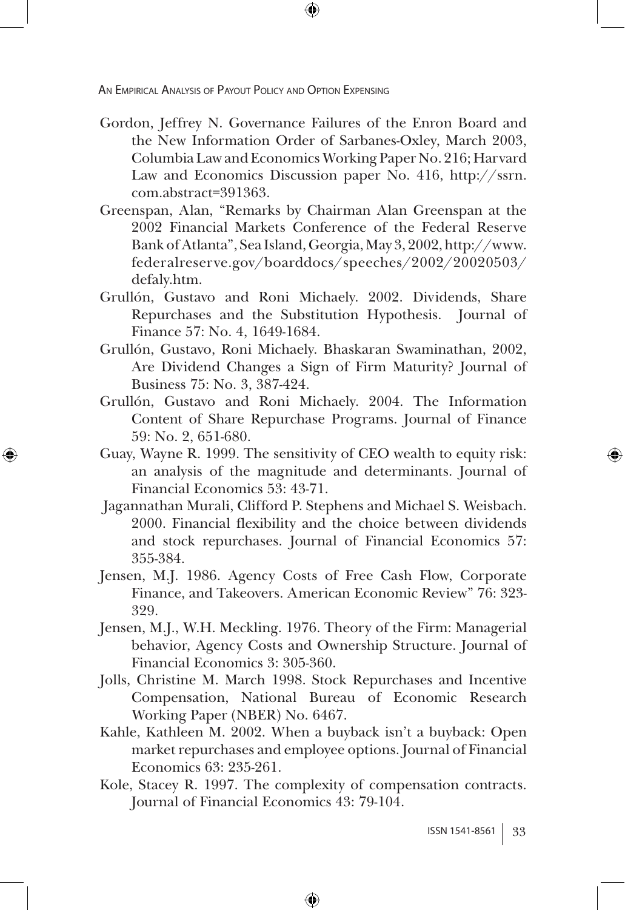⊕

Gordon, Jeffrey N. Governance Failures of the Enron Board and the New Information Order of Sarbanes-Oxley, March 2003, Columbia Law and Economics Working Paper No. 216; Harvard Law and Economics Discussion paper No. 416, http://ssrn. com.abstract=391363.

⊕

- Greenspan, Alan, "Remarks by Chairman Alan Greenspan at the 2002 Financial Markets Conference of the Federal Reserve Bank of Atlanta", Sea Island, Georgia, May 3, 2002, http://www. federalreserve.gov/boarddocs/speeches/2002/20020503/ defaly.htm.
- Grullón, Gustavo and Roni Michaely. 2002. Dividends, Share Repurchases and the Substitution Hypothesis. Journal of Finance 57: No. 4, 1649-1684.
- Grullón, Gustavo, Roni Michaely. Bhaskaran Swaminathan, 2002, Are Dividend Changes a Sign of Firm Maturity? Journal of Business 75: No. 3, 387-424.
- Grullón, Gustavo and Roni Michaely. 2004. The Information Content of Share Repurchase Programs. Journal of Finance 59: No. 2, 651-680.
- Guay, Wayne R. 1999. The sensitivity of CEO wealth to equity risk: an analysis of the magnitude and determinants. Journal of Financial Economics 53: 43-71.
- Jagannathan Murali, Clifford P. Stephens and Michael S. Weisbach. 2000. Financial flexibility and the choice between dividends and stock repurchases. Journal of Financial Economics 57: 355-384.
- Jensen, M.J. 1986. Agency Costs of Free Cash Flow, Corporate Finance, and Takeovers. American Economic Review" 76: 323- 329.
- Jensen, M.J., W.H. Meckling. 1976. Theory of the Firm: Managerial behavior, Agency Costs and Ownership Structure. Journal of Financial Economics 3: 305-360.
- Jolls, Christine M. March 1998. Stock Repurchases and Incentive Compensation, National Bureau of Economic Research Working Paper (NBER) No. 6467.
- Kahle, Kathleen M. 2002. When a buyback isn't a buyback: Open market repurchases and employee options. Journal of Financial Economics 63: 235-261.
- Kole, Stacey R. 1997. The complexity of compensation contracts. Journal of Financial Economics 43: 79-104.